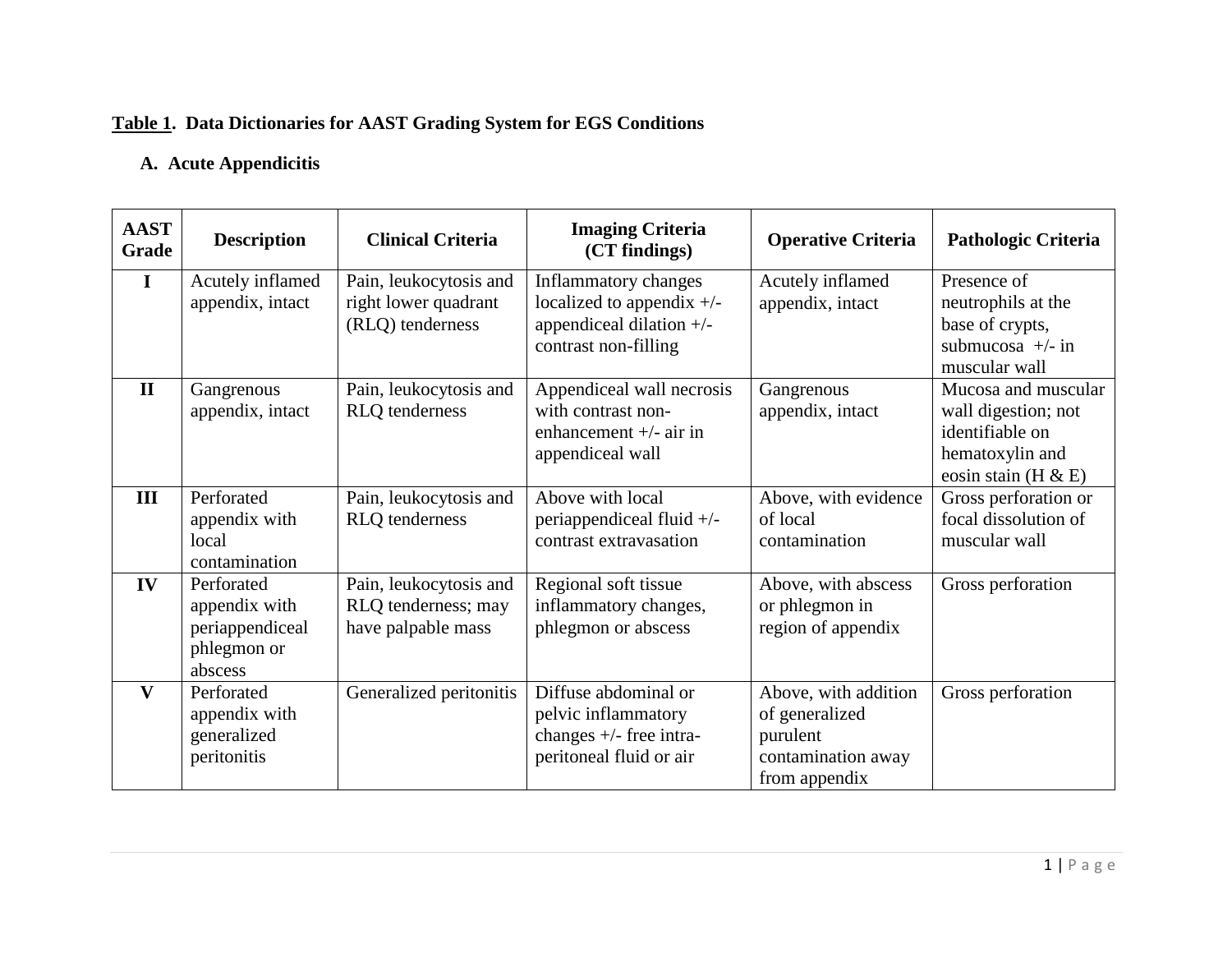# **Table 1. Data Dictionaries for AAST Grading System for EGS Conditions**

# **A. Acute Appendicitis**

| <b>AAST</b><br>Grade | <b>Description</b>                                                       | <b>Clinical Criteria</b>                                            | <b>Imaging Criteria</b><br>(CT findings)                                                                  | <b>Operative Criteria</b>                                                                 | <b>Pathologic Criteria</b>                                                                                 |
|----------------------|--------------------------------------------------------------------------|---------------------------------------------------------------------|-----------------------------------------------------------------------------------------------------------|-------------------------------------------------------------------------------------------|------------------------------------------------------------------------------------------------------------|
| I                    | Acutely inflamed<br>appendix, intact                                     | Pain, leukocytosis and<br>right lower quadrant<br>(RLQ) tenderness  | Inflammatory changes<br>localized to appendix $+/-$<br>appendiceal dilation $+/-$<br>contrast non-filling | Acutely inflamed<br>appendix, intact                                                      | Presence of<br>neutrophils at the<br>base of crypts,<br>submucosa $+/-$ in<br>muscular wall                |
| $\mathbf{I}$         | Gangrenous<br>appendix, intact                                           | Pain, leukocytosis and<br><b>RLQ</b> tenderness                     | Appendiceal wall necrosis<br>with contrast non-<br>enhancement $+/-$ air in<br>appendiceal wall           | Gangrenous<br>appendix, intact                                                            | Mucosa and muscular<br>wall digestion; not<br>identifiable on<br>hematoxylin and<br>eosin stain (H $\&$ E) |
| III                  | Perforated<br>appendix with<br>local<br>contamination                    | Pain, leukocytosis and<br><b>RLQ</b> tenderness                     | Above with local<br>periappendiceal fluid $+/-$<br>contrast extravasation                                 | Above, with evidence<br>of local<br>contamination                                         | Gross perforation or<br>focal dissolution of<br>muscular wall                                              |
| IV                   | Perforated<br>appendix with<br>periappendiceal<br>phlegmon or<br>abscess | Pain, leukocytosis and<br>RLQ tenderness; may<br>have palpable mass | Regional soft tissue<br>inflammatory changes,<br>phlegmon or abscess                                      | Above, with abscess<br>or phlegmon in<br>region of appendix                               | Gross perforation                                                                                          |
| V                    | Perforated<br>appendix with<br>generalized<br>peritonitis                | Generalized peritonitis                                             | Diffuse abdominal or<br>pelvic inflammatory<br>changes $+/-$ free intra-<br>peritoneal fluid or air       | Above, with addition<br>of generalized<br>purulent<br>contamination away<br>from appendix | Gross perforation                                                                                          |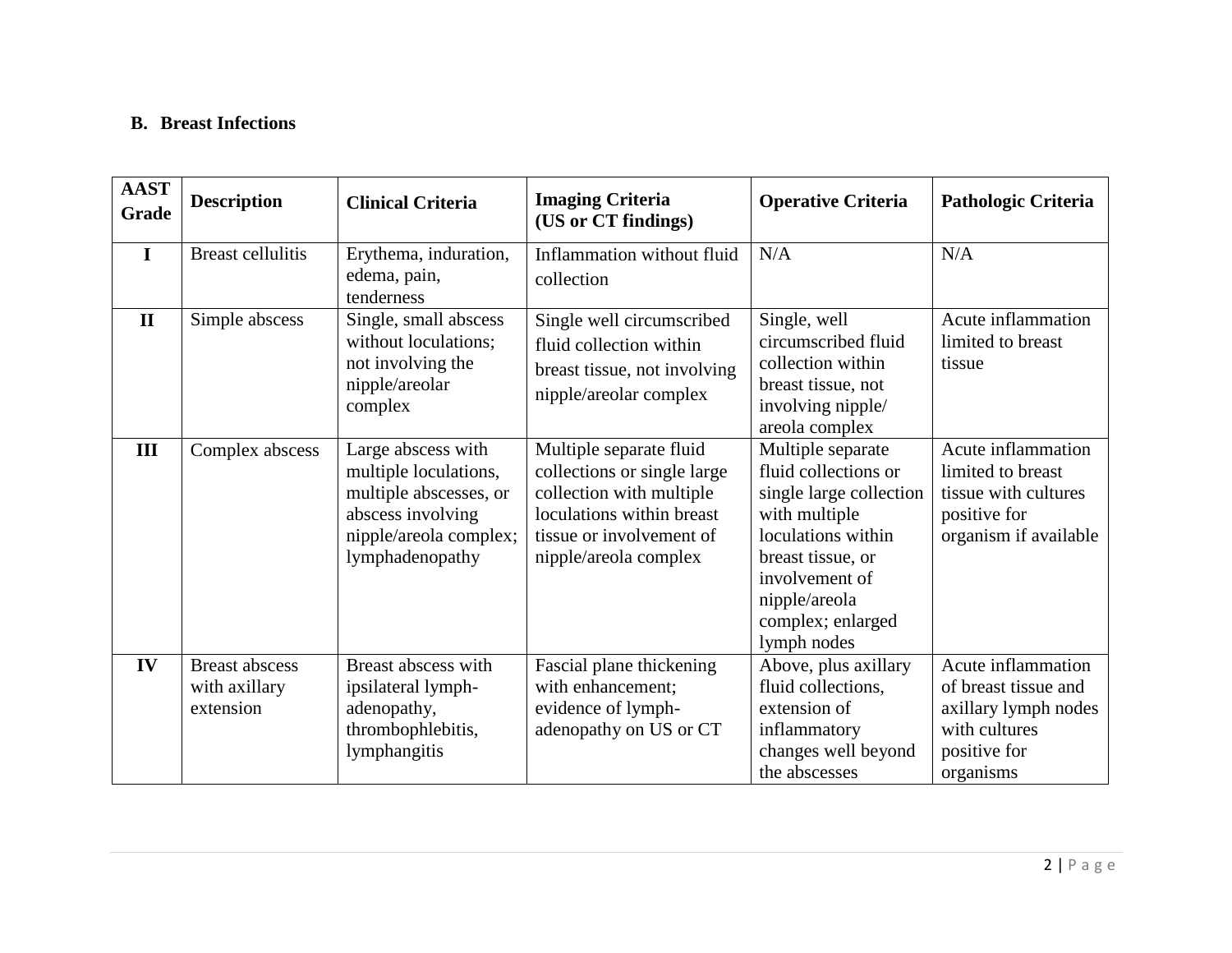### **B. Breast Infections**

| <b>AAST</b><br>Grade | <b>Description</b>                                  | <b>Clinical Criteria</b>                                                                                                                | <b>Imaging Criteria</b><br>(US or CT findings)                                                                                                                       | <b>Operative Criteria</b>                                                                                                                                                                               | <b>Pathologic Criteria</b>                                                                                       |
|----------------------|-----------------------------------------------------|-----------------------------------------------------------------------------------------------------------------------------------------|----------------------------------------------------------------------------------------------------------------------------------------------------------------------|---------------------------------------------------------------------------------------------------------------------------------------------------------------------------------------------------------|------------------------------------------------------------------------------------------------------------------|
| $\bf{I}$             | <b>Breast cellulitis</b>                            | Erythema, induration,<br>edema, pain,<br>tenderness                                                                                     | Inflammation without fluid<br>collection                                                                                                                             | N/A                                                                                                                                                                                                     | N/A                                                                                                              |
| $\mathbf{I}$         | Simple abscess                                      | Single, small abscess<br>without loculations;<br>not involving the<br>nipple/areolar<br>complex                                         | Single well circumscribed<br>fluid collection within<br>breast tissue, not involving<br>nipple/areolar complex                                                       | Single, well<br>circumscribed fluid<br>collection within<br>breast tissue, not<br>involving nipple/<br>areola complex                                                                                   | Acute inflammation<br>limited to breast<br>tissue                                                                |
| III                  | Complex abscess                                     | Large abscess with<br>multiple loculations,<br>multiple abscesses, or<br>abscess involving<br>nipple/areola complex;<br>lymphadenopathy | Multiple separate fluid<br>collections or single large<br>collection with multiple<br>loculations within breast<br>tissue or involvement of<br>nipple/areola complex | Multiple separate<br>fluid collections or<br>single large collection<br>with multiple<br>loculations within<br>breast tissue, or<br>involvement of<br>nipple/areola<br>complex; enlarged<br>lymph nodes | Acute inflammation<br>limited to breast<br>tissue with cultures<br>positive for<br>organism if available         |
| IV                   | <b>Breast abscess</b><br>with axillary<br>extension | Breast abscess with<br>ipsilateral lymph-<br>adenopathy,<br>thrombophlebitis,<br>lymphangitis                                           | Fascial plane thickening<br>with enhancement;<br>evidence of lymph-<br>adenopathy on US or CT                                                                        | Above, plus axillary<br>fluid collections,<br>extension of<br>inflammatory<br>changes well beyond<br>the abscesses                                                                                      | Acute inflammation<br>of breast tissue and<br>axillary lymph nodes<br>with cultures<br>positive for<br>organisms |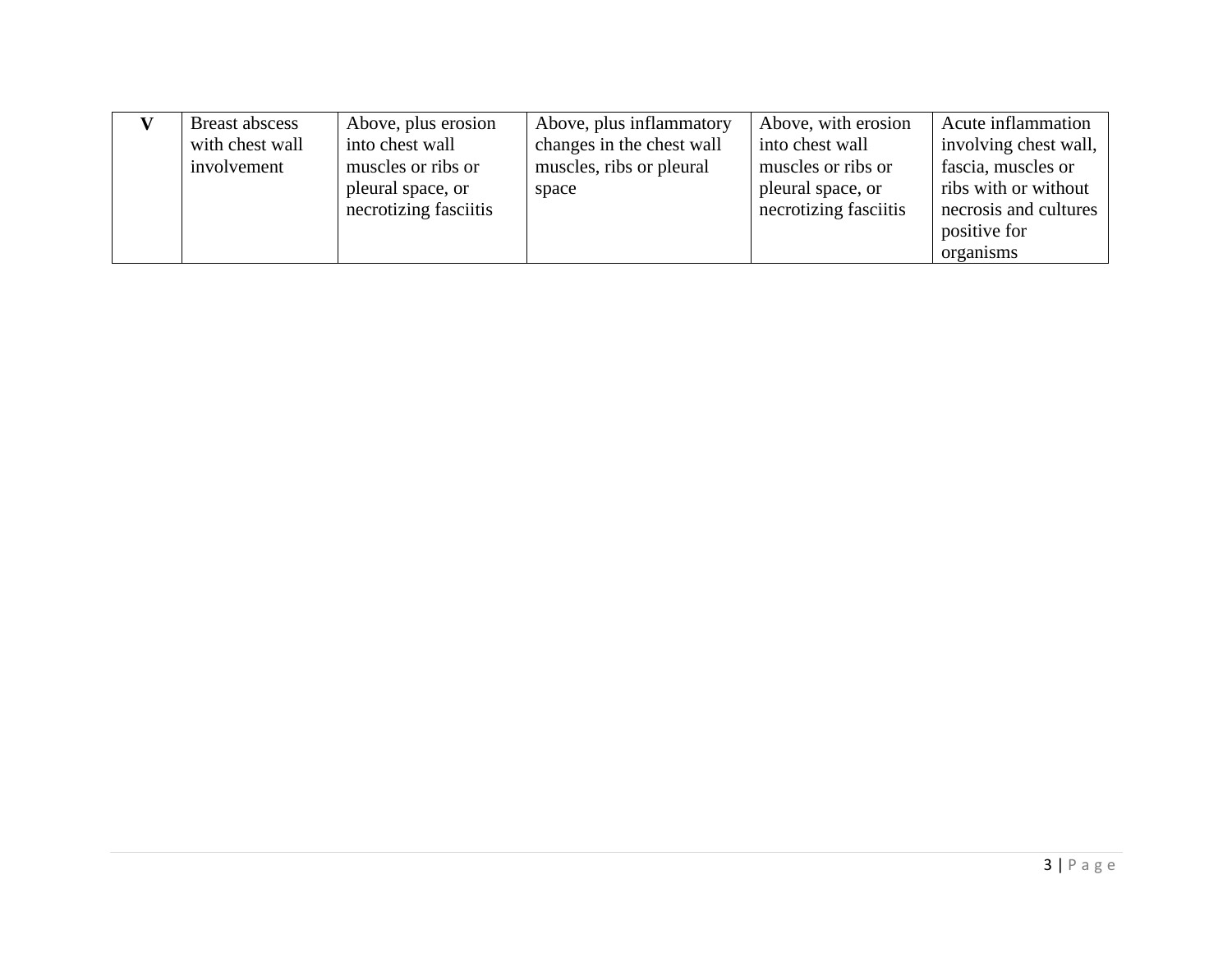| Breast abscess  | Above, plus erosion   | Above, plus inflammatory  | Above, with erosion   | Acute inflammation    |
|-----------------|-----------------------|---------------------------|-----------------------|-----------------------|
| with chest wall | into chest wall       | changes in the chest wall | into chest wall       | involving chest wall, |
| involvement     | muscles or ribs or    | muscles, ribs or pleural  | muscles or ribs or    | fascia, muscles or    |
|                 | pleural space, or     | space                     | pleural space, or     | ribs with or without  |
|                 | necrotizing fasciitis |                           | necrotizing fasciitis | necrosis and cultures |
|                 |                       |                           |                       | positive for          |
|                 |                       |                           |                       | organisms             |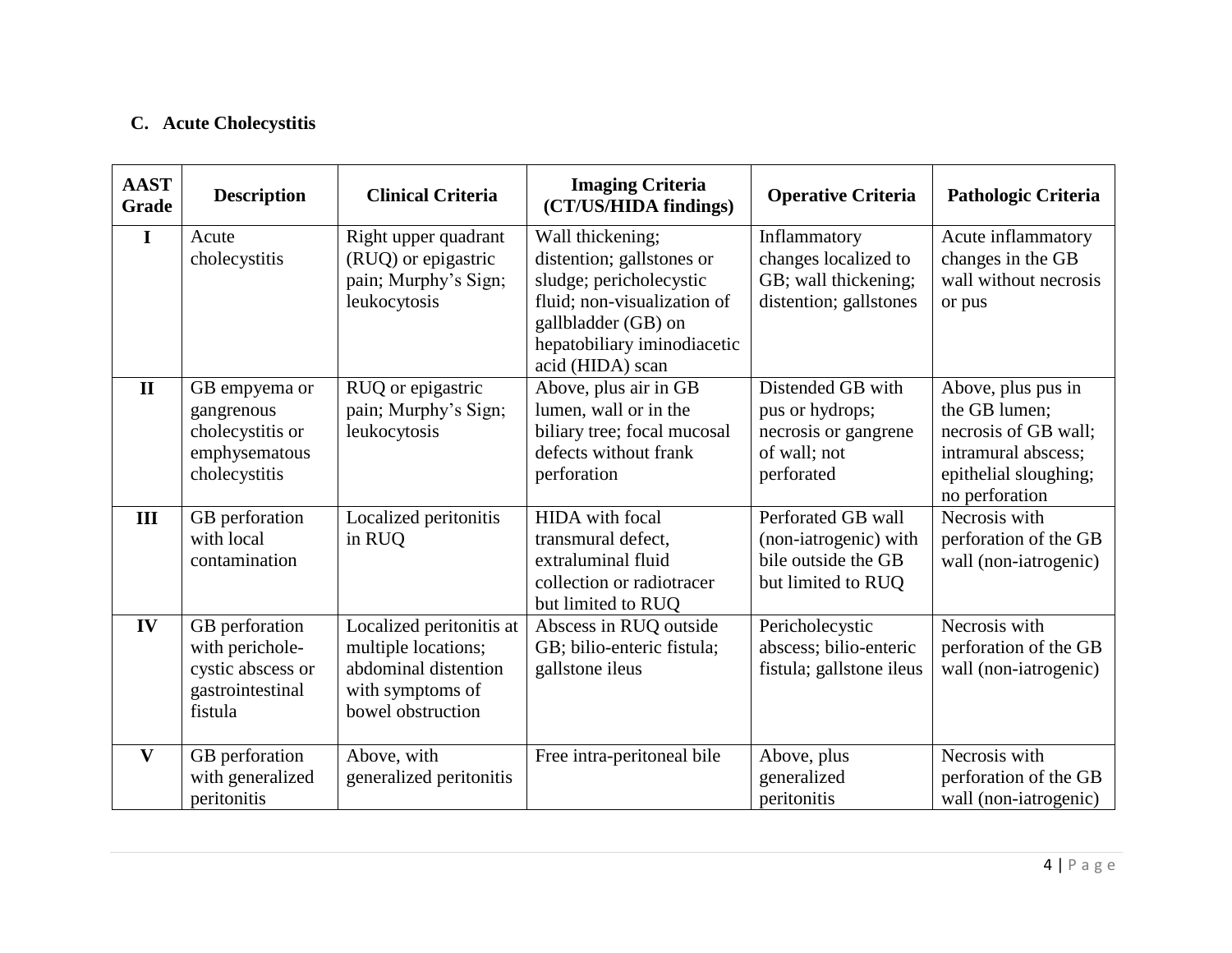# **C. Acute Cholecystitis**

| <b>AAST</b><br>Grade | <b>Description</b>                                                                    | <b>Clinical Criteria</b>                                                                                         | <b>Imaging Criteria</b><br>(CT/US/HIDA findings)                                                                                                                                  | <b>Operative Criteria</b>                                                                  | Pathologic Criteria                                                                                                           |
|----------------------|---------------------------------------------------------------------------------------|------------------------------------------------------------------------------------------------------------------|-----------------------------------------------------------------------------------------------------------------------------------------------------------------------------------|--------------------------------------------------------------------------------------------|-------------------------------------------------------------------------------------------------------------------------------|
| I                    | Acute<br>cholecystitis                                                                | Right upper quadrant<br>(RUQ) or epigastric<br>pain; Murphy's Sign;<br>leukocytosis                              | Wall thickening;<br>distention; gallstones or<br>sludge; pericholecystic<br>fluid; non-visualization of<br>gallbladder (GB) on<br>hepatobiliary iminodiacetic<br>acid (HIDA) scan | Inflammatory<br>changes localized to<br>GB; wall thickening;<br>distention; gallstones     | Acute inflammatory<br>changes in the GB<br>wall without necrosis<br>or pus                                                    |
| $\mathbf{I}$         | GB empyema or<br>gangrenous<br>cholecystitis or<br>emphysematous<br>cholecystitis     | RUQ or epigastric<br>pain; Murphy's Sign;<br>leukocytosis                                                        | Above, plus air in GB<br>lumen, wall or in the<br>biliary tree; focal mucosal<br>defects without frank<br>perforation                                                             | Distended GB with<br>pus or hydrops;<br>necrosis or gangrene<br>of wall; not<br>perforated | Above, plus pus in<br>the GB lumen;<br>necrosis of GB wall;<br>intramural abscess;<br>epithelial sloughing;<br>no perforation |
| III                  | GB perforation<br>with local<br>contamination                                         | Localized peritonitis<br>in RUQ                                                                                  | <b>HIDA</b> with focal<br>transmural defect,<br>extraluminal fluid<br>collection or radiotracer<br>but limited to RUQ                                                             | Perforated GB wall<br>(non-iatrogenic) with<br>bile outside the GB<br>but limited to RUQ   | Necrosis with<br>perforation of the GB<br>wall (non-iatrogenic)                                                               |
| IV                   | GB perforation<br>with perichole-<br>cystic abscess or<br>gastrointestinal<br>fistula | Localized peritonitis at<br>multiple locations;<br>abdominal distention<br>with symptoms of<br>bowel obstruction | Abscess in RUQ outside<br>GB; bilio-enteric fistula;<br>gallstone ileus                                                                                                           | Pericholecystic<br>abscess; bilio-enteric<br>fistula; gallstone ileus                      | Necrosis with<br>perforation of the GB<br>wall (non-iatrogenic)                                                               |
| V                    | GB perforation<br>with generalized<br>peritonitis                                     | Above, with<br>generalized peritonitis                                                                           | Free intra-peritoneal bile                                                                                                                                                        | Above, plus<br>generalized<br>peritonitis                                                  | Necrosis with<br>perforation of the GB<br>wall (non-iatrogenic)                                                               |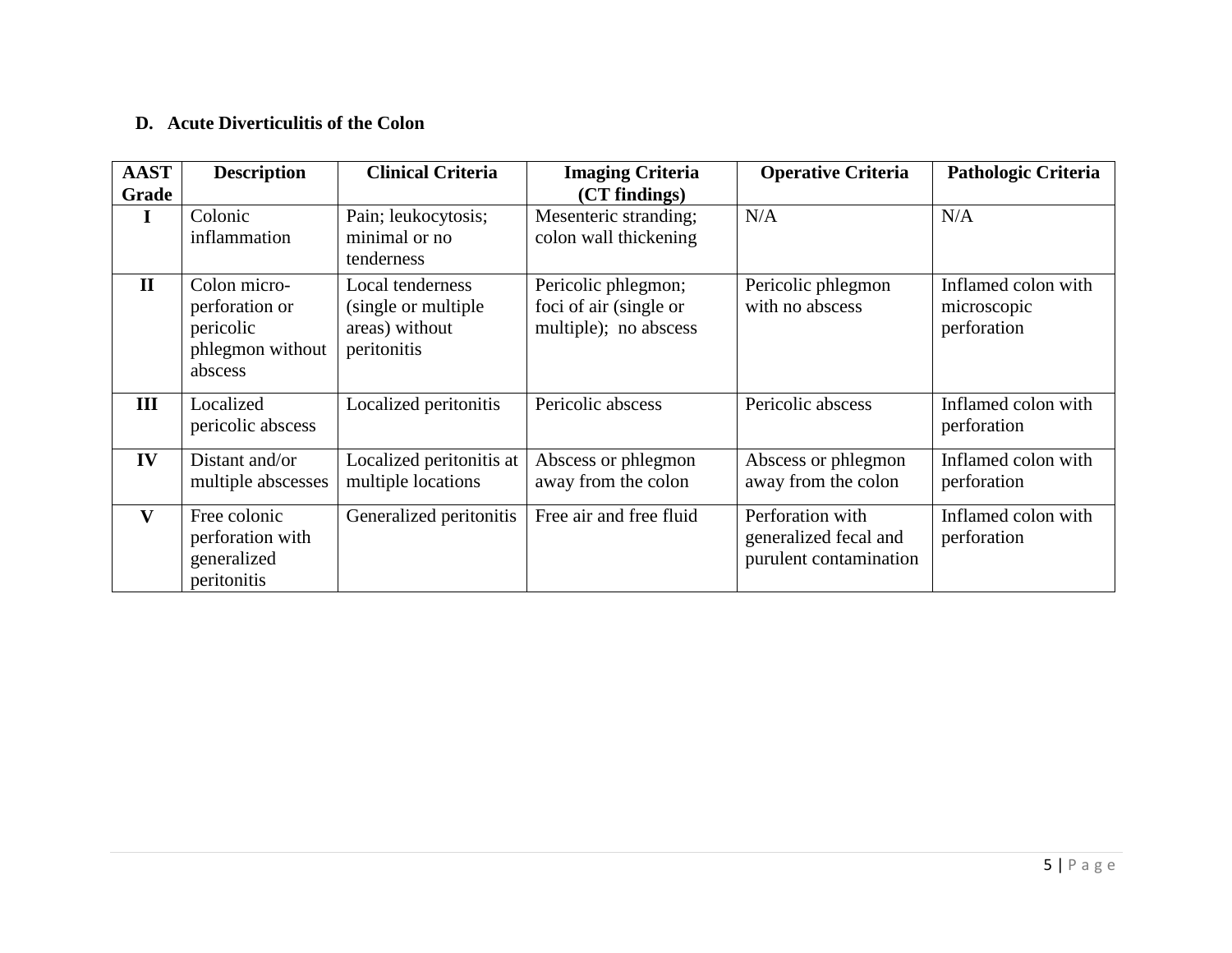### **D. Acute Diverticulitis of the Colon**

| <b>AAST</b><br>Grade | <b>Description</b>                                                         | <b>Clinical Criteria</b>                                                  | <b>Imaging Criteria</b><br>(CT findings)                               | <b>Operative Criteria</b>                                           | <b>Pathologic Criteria</b>                        |
|----------------------|----------------------------------------------------------------------------|---------------------------------------------------------------------------|------------------------------------------------------------------------|---------------------------------------------------------------------|---------------------------------------------------|
| I                    | Colonic<br>inflammation                                                    | Pain; leukocytosis;<br>minimal or no<br>tenderness                        | Mesenteric stranding;<br>colon wall thickening                         | N/A                                                                 | N/A                                               |
| $\mathbf{H}$         | Colon micro-<br>perforation or<br>pericolic<br>phlegmon without<br>abscess | Local tenderness<br>(single or multiple)<br>areas) without<br>peritonitis | Pericolic phlegmon;<br>foci of air (single or<br>multiple); no abscess | Pericolic phlegmon<br>with no abscess                               | Inflamed colon with<br>microscopic<br>perforation |
| III                  | Localized<br>pericolic abscess                                             | Localized peritonitis                                                     | Pericolic abscess                                                      | Pericolic abscess                                                   | Inflamed colon with<br>perforation                |
| IV                   | Distant and/or<br>multiple abscesses                                       | Localized peritonitis at<br>multiple locations                            | Abscess or phlegmon<br>away from the colon                             | Abscess or phlegmon<br>away from the colon                          | Inflamed colon with<br>perforation                |
| V                    | Free colonic<br>perforation with<br>generalized<br>peritonitis             | Generalized peritonitis                                                   | Free air and free fluid                                                | Perforation with<br>generalized fecal and<br>purulent contamination | Inflamed colon with<br>perforation                |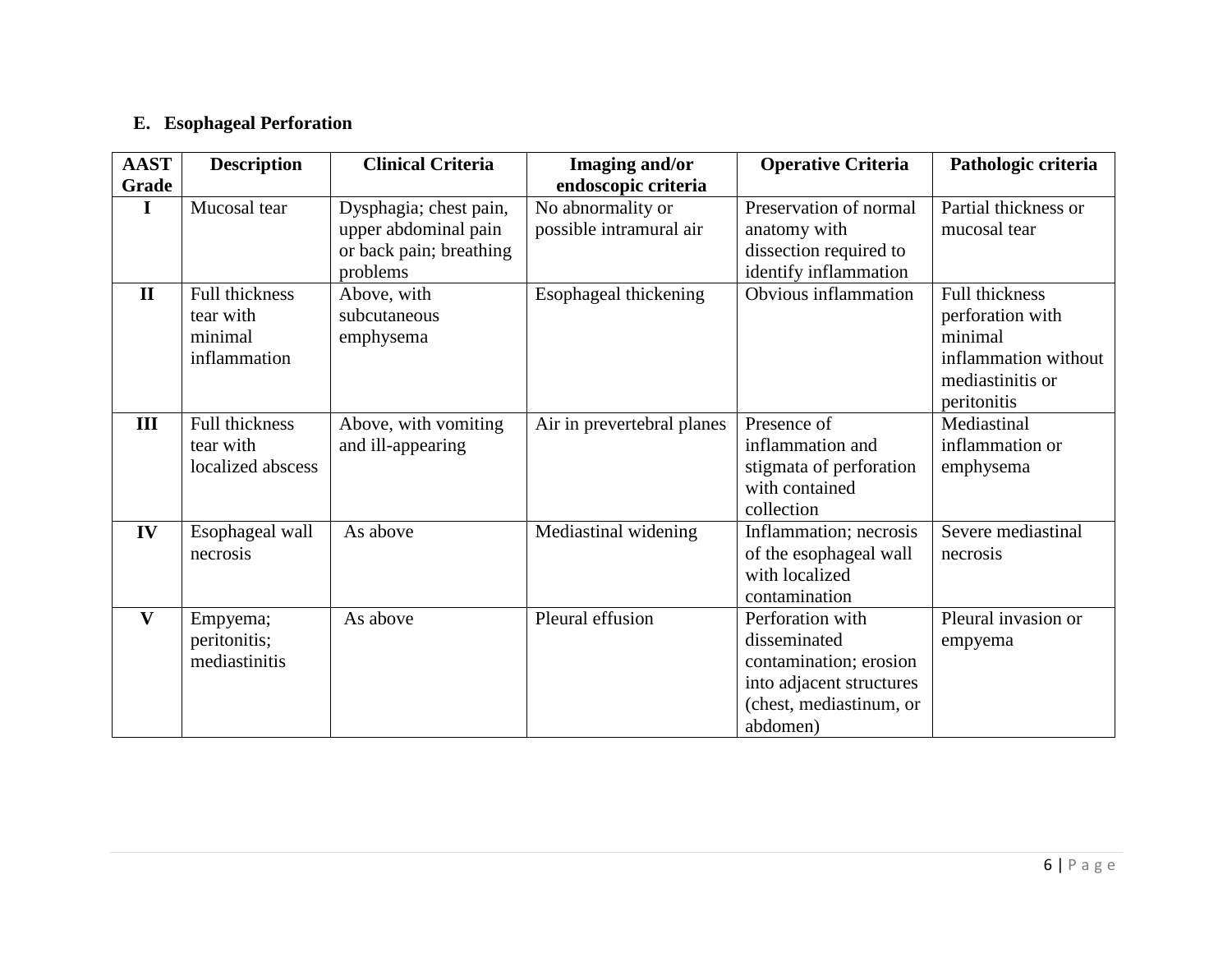# **E. Esophageal Perforation**

| <b>AAST</b>  | <b>Description</b>                                      | <b>Clinical Criteria</b>                                                              | Imaging and/or                               | <b>Operative Criteria</b>                                                                                                     | Pathologic criteria                                                                                      |
|--------------|---------------------------------------------------------|---------------------------------------------------------------------------------------|----------------------------------------------|-------------------------------------------------------------------------------------------------------------------------------|----------------------------------------------------------------------------------------------------------|
| Grade        |                                                         |                                                                                       | endoscopic criteria                          |                                                                                                                               |                                                                                                          |
| I            | Mucosal tear                                            | Dysphagia; chest pain,<br>upper abdominal pain<br>or back pain; breathing<br>problems | No abnormality or<br>possible intramural air | Preservation of normal<br>anatomy with<br>dissection required to<br>identify inflammation                                     | Partial thickness or<br>mucosal tear                                                                     |
| $\mathbf{I}$ | Full thickness<br>tear with<br>minimal<br>inflammation  | Above, with<br>subcutaneous<br>emphysema                                              | Esophageal thickening                        | Obvious inflammation                                                                                                          | Full thickness<br>perforation with<br>minimal<br>inflammation without<br>mediastinitis or<br>peritonitis |
| III          | <b>Full thickness</b><br>tear with<br>localized abscess | Above, with vomiting<br>and ill-appearing                                             | Air in prevertebral planes                   | Presence of<br>inflammation and<br>stigmata of perforation<br>with contained<br>collection                                    | Mediastinal<br>inflammation or<br>emphysema                                                              |
| IV           | Esophageal wall<br>necrosis                             | As above                                                                              | Mediastinal widening                         | Inflammation; necrosis<br>of the esophageal wall<br>with localized<br>contamination                                           | Severe mediastinal<br>necrosis                                                                           |
| $\mathbf{V}$ | Empyema;<br>peritonitis;<br>mediastinitis               | As above                                                                              | Pleural effusion                             | Perforation with<br>disseminated<br>contamination; erosion<br>into adjacent structures<br>(chest, mediastinum, or<br>abdomen) | Pleural invasion or<br>empyema                                                                           |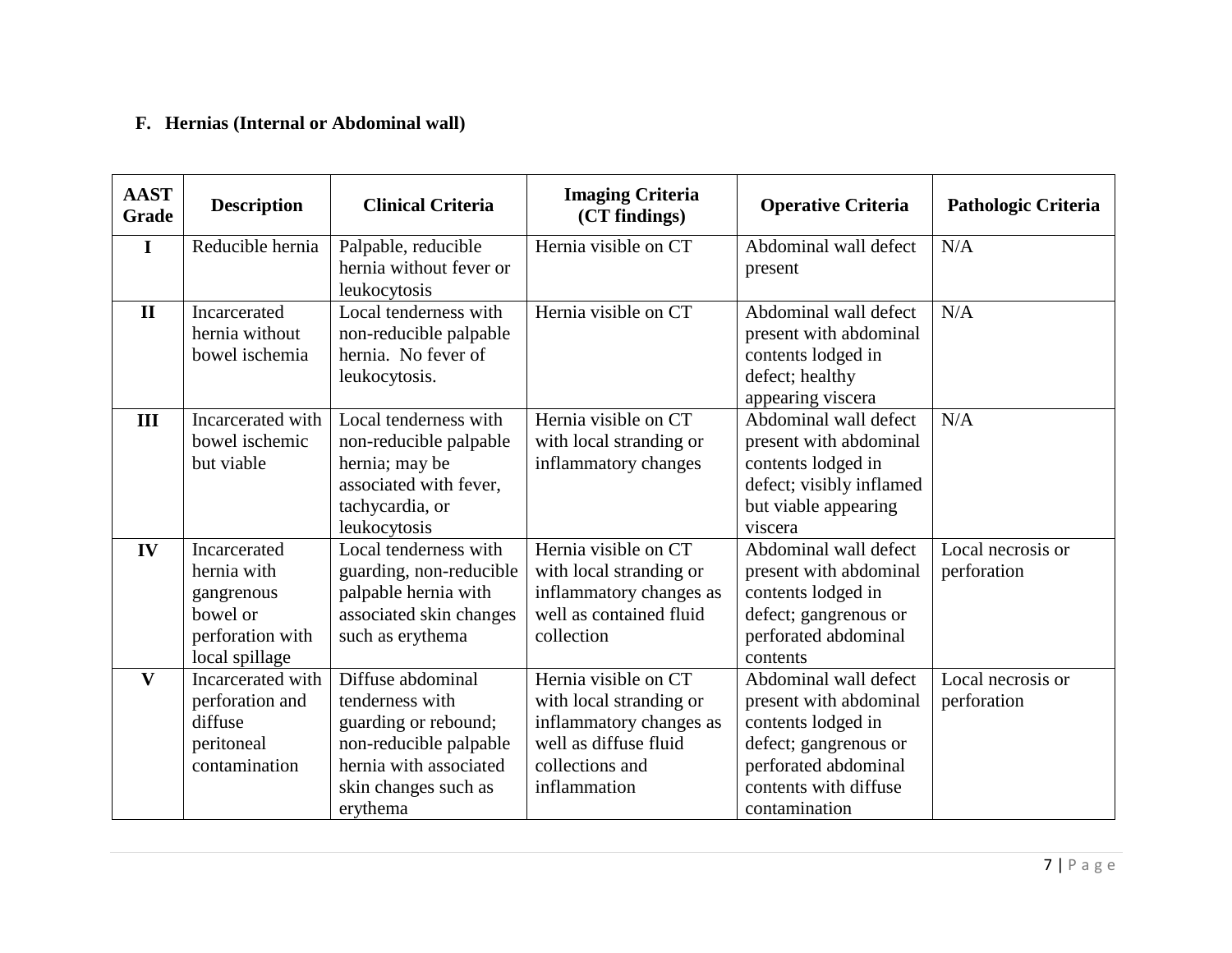### **F. Hernias (Internal or Abdominal wall)**

| <b>AAST</b><br>Grade | <b>Description</b>                                                                          | <b>Clinical Criteria</b>                                                                                                                             | <b>Imaging Criteria</b><br>(CT findings)                                                                                               | <b>Operative Criteria</b>                                                                                                                                        | <b>Pathologic Criteria</b>       |
|----------------------|---------------------------------------------------------------------------------------------|------------------------------------------------------------------------------------------------------------------------------------------------------|----------------------------------------------------------------------------------------------------------------------------------------|------------------------------------------------------------------------------------------------------------------------------------------------------------------|----------------------------------|
| I                    | Reducible hernia                                                                            | Palpable, reducible<br>hernia without fever or<br>leukocytosis                                                                                       | Hernia visible on CT                                                                                                                   | Abdominal wall defect<br>present                                                                                                                                 | N/A                              |
| $\mathbf{I}$         | Incarcerated<br>hernia without<br>bowel ischemia                                            | Local tenderness with<br>non-reducible palpable<br>hernia. No fever of<br>leukocytosis.                                                              | Hernia visible on CT                                                                                                                   | Abdominal wall defect<br>present with abdominal<br>contents lodged in<br>defect; healthy<br>appearing viscera                                                    | N/A                              |
| III                  | Incarcerated with<br>bowel ischemic<br>but viable                                           | Local tenderness with<br>non-reducible palpable<br>hernia; may be<br>associated with fever,<br>tachycardia, or<br>leukocytosis                       | Hernia visible on CT<br>with local stranding or<br>inflammatory changes                                                                | Abdominal wall defect<br>present with abdominal<br>contents lodged in<br>defect; visibly inflamed<br>but viable appearing<br>viscera                             | N/A                              |
| IV                   | Incarcerated<br>hernia with<br>gangrenous<br>bowel or<br>perforation with<br>local spillage | Local tenderness with<br>guarding, non-reducible<br>palpable hernia with<br>associated skin changes<br>such as erythema                              | Hernia visible on CT<br>with local stranding or<br>inflammatory changes as<br>well as contained fluid<br>collection                    | Abdominal wall defect<br>present with abdominal<br>contents lodged in<br>defect; gangrenous or<br>perforated abdominal<br>contents                               | Local necrosis or<br>perforation |
| $\mathbf{V}$         | Incarcerated with<br>perforation and<br>diffuse<br>peritoneal<br>contamination              | Diffuse abdominal<br>tenderness with<br>guarding or rebound;<br>non-reducible palpable<br>hernia with associated<br>skin changes such as<br>erythema | Hernia visible on CT<br>with local stranding or<br>inflammatory changes as<br>well as diffuse fluid<br>collections and<br>inflammation | Abdominal wall defect<br>present with abdominal<br>contents lodged in<br>defect; gangrenous or<br>perforated abdominal<br>contents with diffuse<br>contamination | Local necrosis or<br>perforation |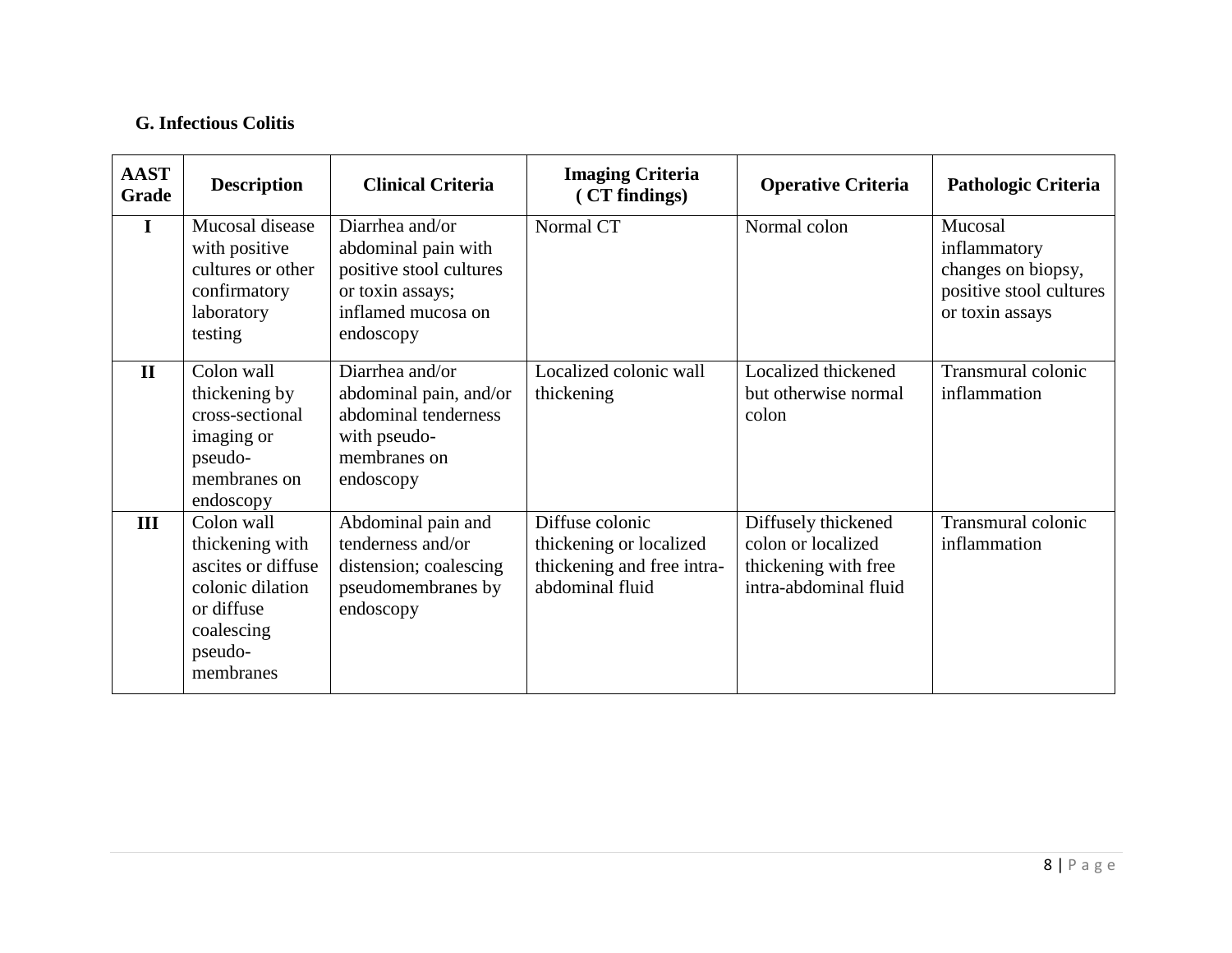### **G. Infectious Colitis**

| <b>AAST</b><br>Grade | <b>Description</b>                                                                                                          | <b>Clinical Criteria</b>                                                                                                 | <b>Imaging Criteria</b><br>(CT findings)                                                    | <b>Operative Criteria</b>                                                                  | <b>Pathologic Criteria</b>                                                                  |
|----------------------|-----------------------------------------------------------------------------------------------------------------------------|--------------------------------------------------------------------------------------------------------------------------|---------------------------------------------------------------------------------------------|--------------------------------------------------------------------------------------------|---------------------------------------------------------------------------------------------|
| 1                    | Mucosal disease<br>with positive<br>cultures or other<br>confirmatory<br>laboratory<br>testing                              | Diarrhea and/or<br>abdominal pain with<br>positive stool cultures<br>or toxin assays;<br>inflamed mucosa on<br>endoscopy | Normal CT                                                                                   | Normal colon                                                                               | Mucosal<br>inflammatory<br>changes on biopsy,<br>positive stool cultures<br>or toxin assays |
| $\mathbf{H}$         | Colon wall<br>thickening by<br>cross-sectional<br>imaging or<br>pseudo-<br>membranes on<br>endoscopy                        | Diarrhea and/or<br>abdominal pain, and/or<br>abdominal tenderness<br>with pseudo-<br>membranes on<br>endoscopy           | Localized colonic wall<br>thickening                                                        | Localized thickened<br>but otherwise normal<br>colon                                       | Transmural colonic<br>inflammation                                                          |
| III                  | Colon wall<br>thickening with<br>ascites or diffuse<br>colonic dilation<br>or diffuse<br>coalescing<br>pseudo-<br>membranes | Abdominal pain and<br>tenderness and/or<br>distension; coalescing<br>pseudomembranes by<br>endoscopy                     | Diffuse colonic<br>thickening or localized<br>thickening and free intra-<br>abdominal fluid | Diffusely thickened<br>colon or localized<br>thickening with free<br>intra-abdominal fluid | Transmural colonic<br>inflammation                                                          |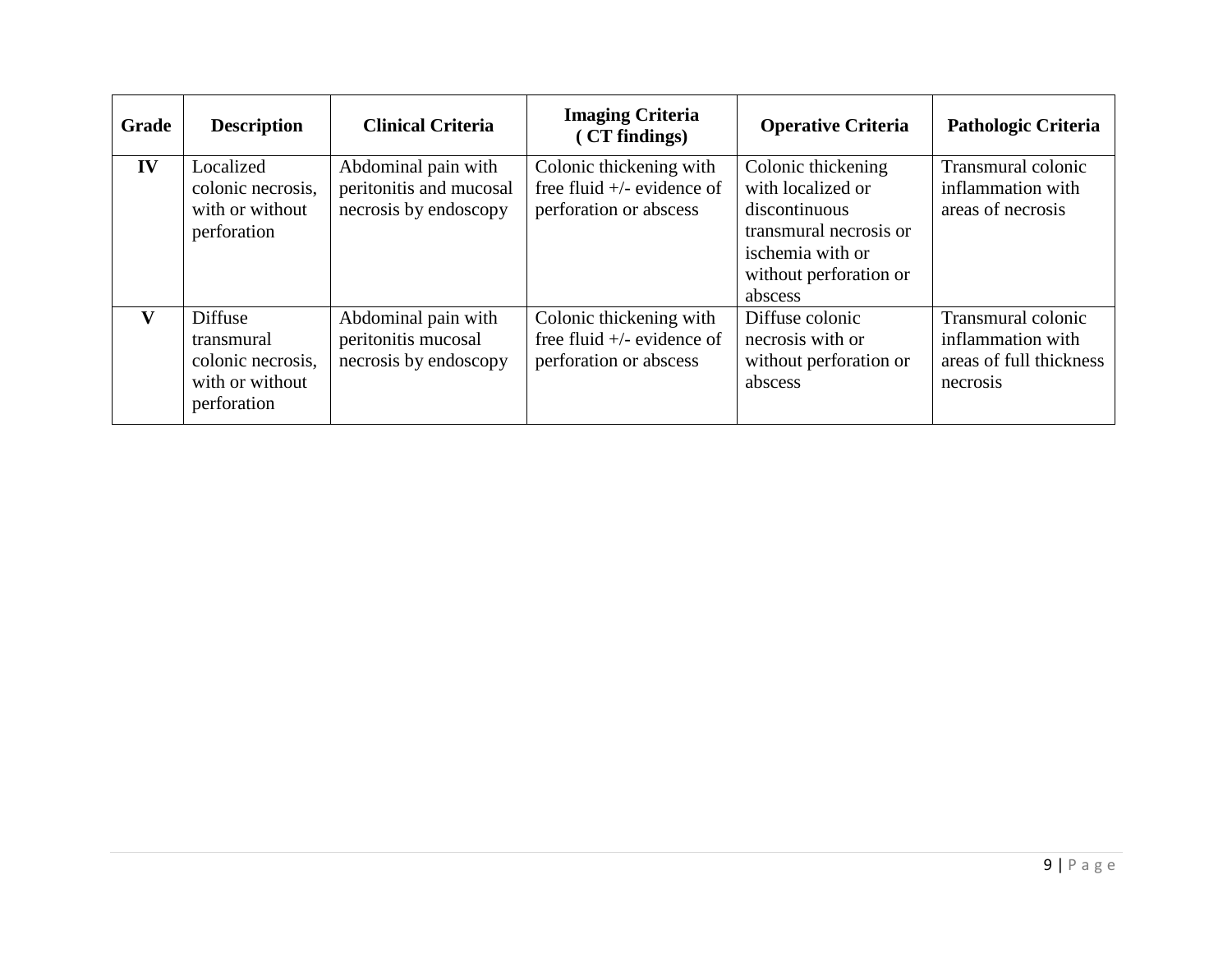| Grade | <b>Description</b>                                                           | <b>Clinical Criteria</b>                                                | <b>Imaging Criteria</b><br>(CT findings)                                          | <b>Operative Criteria</b>                                                                                                                   | <b>Pathologic Criteria</b>                                                     |
|-------|------------------------------------------------------------------------------|-------------------------------------------------------------------------|-----------------------------------------------------------------------------------|---------------------------------------------------------------------------------------------------------------------------------------------|--------------------------------------------------------------------------------|
| IV    | Localized<br>colonic necrosis,<br>with or without<br>perforation             | Abdominal pain with<br>peritonitis and mucosal<br>necrosis by endoscopy | Colonic thickening with<br>free fluid $+/-$ evidence of<br>perforation or abscess | Colonic thickening<br>with localized or<br>discontinuous<br>transmural necrosis or<br>ischemia with or<br>without perforation or<br>abscess | Transmural colonic<br>inflammation with<br>areas of necrosis                   |
| v     | Diffuse<br>transmural<br>colonic necrosis,<br>with or without<br>perforation | Abdominal pain with<br>peritonitis mucosal<br>necrosis by endoscopy     | Colonic thickening with<br>free fluid $+/-$ evidence of<br>perforation or abscess | Diffuse colonic<br>necrosis with or<br>without perforation or<br>abscess                                                                    | Transmural colonic<br>inflammation with<br>areas of full thickness<br>necrosis |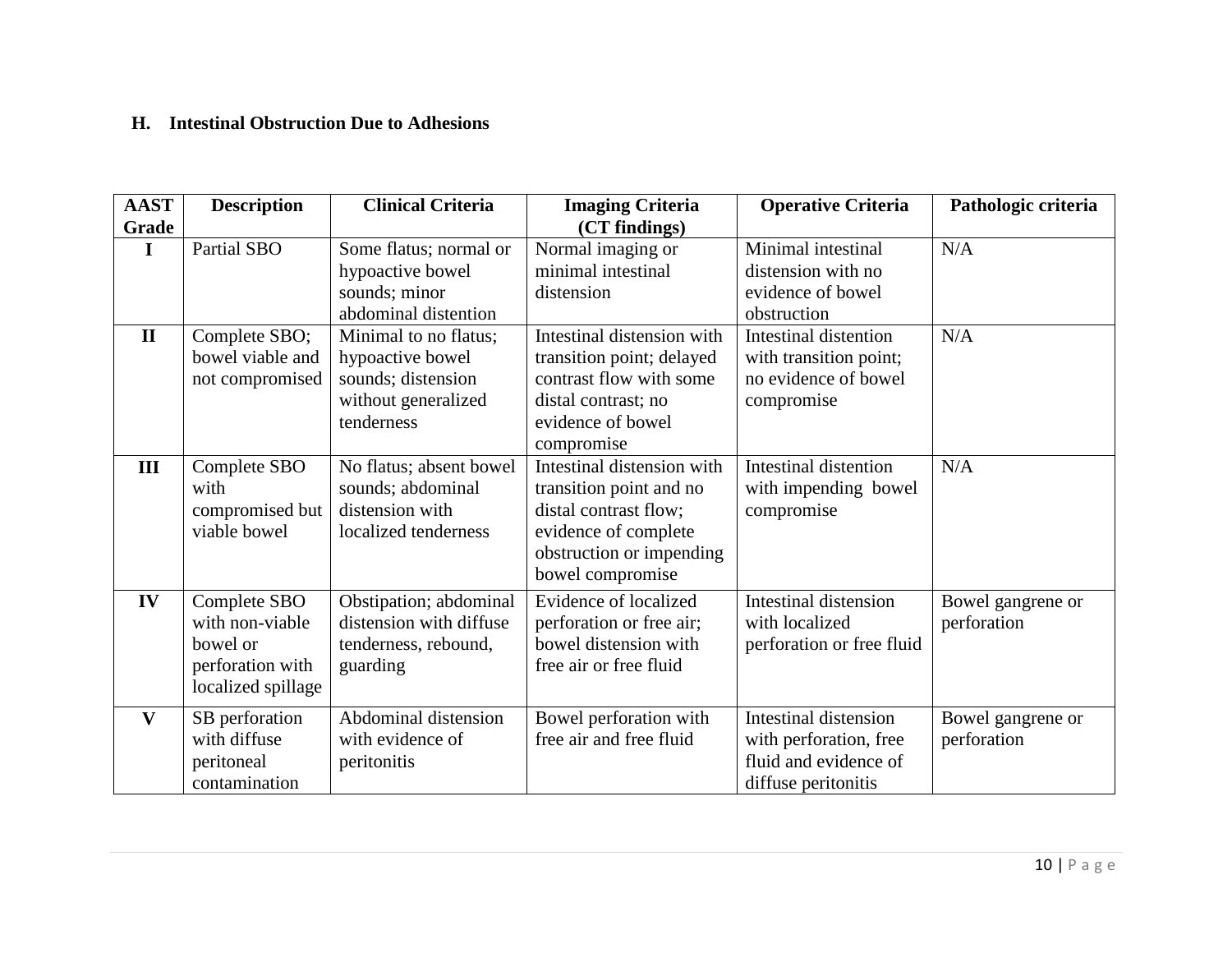### **H. Intestinal Obstruction Due to Adhesions**

| <b>AAST</b>  | <b>Description</b>                                                                    | <b>Clinical Criteria</b>                                                                             | <b>Imaging Criteria</b>                                                                                                                                | <b>Operative Criteria</b>                                                                       | Pathologic criteria              |
|--------------|---------------------------------------------------------------------------------------|------------------------------------------------------------------------------------------------------|--------------------------------------------------------------------------------------------------------------------------------------------------------|-------------------------------------------------------------------------------------------------|----------------------------------|
| Grade        |                                                                                       |                                                                                                      | (CT findings)                                                                                                                                          |                                                                                                 |                                  |
| $\mathbf I$  | Partial SBO                                                                           | Some flatus; normal or<br>hypoactive bowel<br>sounds; minor<br>abdominal distention                  | Normal imaging or<br>minimal intestinal<br>distension                                                                                                  | Minimal intestinal<br>distension with no<br>evidence of bowel<br>obstruction                    | N/A                              |
| $\mathbf{I}$ | Complete SBO;<br>bowel viable and<br>not compromised                                  | Minimal to no flatus;<br>hypoactive bowel<br>sounds; distension<br>without generalized<br>tenderness | Intestinal distension with<br>transition point; delayed<br>contrast flow with some<br>distal contrast; no<br>evidence of bowel<br>compromise           | Intestinal distention<br>with transition point;<br>no evidence of bowel<br>compromise           | N/A                              |
| III          | Complete SBO<br>with<br>compromised but<br>viable bowel                               | No flatus; absent bowel<br>sounds; abdominal<br>distension with<br>localized tenderness              | Intestinal distension with<br>transition point and no<br>distal contrast flow;<br>evidence of complete<br>obstruction or impending<br>bowel compromise | Intestinal distention<br>with impending bowel<br>compromise                                     | N/A                              |
| IV           | Complete SBO<br>with non-viable<br>bowel or<br>perforation with<br>localized spillage | Obstipation; abdominal<br>distension with diffuse<br>tenderness, rebound,<br>guarding                | Evidence of localized<br>perforation or free air;<br>bowel distension with<br>free air or free fluid                                                   | Intestinal distension<br>with localized<br>perforation or free fluid                            | Bowel gangrene or<br>perforation |
| $\mathbf{V}$ | SB perforation<br>with diffuse<br>peritoneal<br>contamination                         | Abdominal distension<br>with evidence of<br>peritonitis                                              | Bowel perforation with<br>free air and free fluid                                                                                                      | Intestinal distension<br>with perforation, free<br>fluid and evidence of<br>diffuse peritonitis | Bowel gangrene or<br>perforation |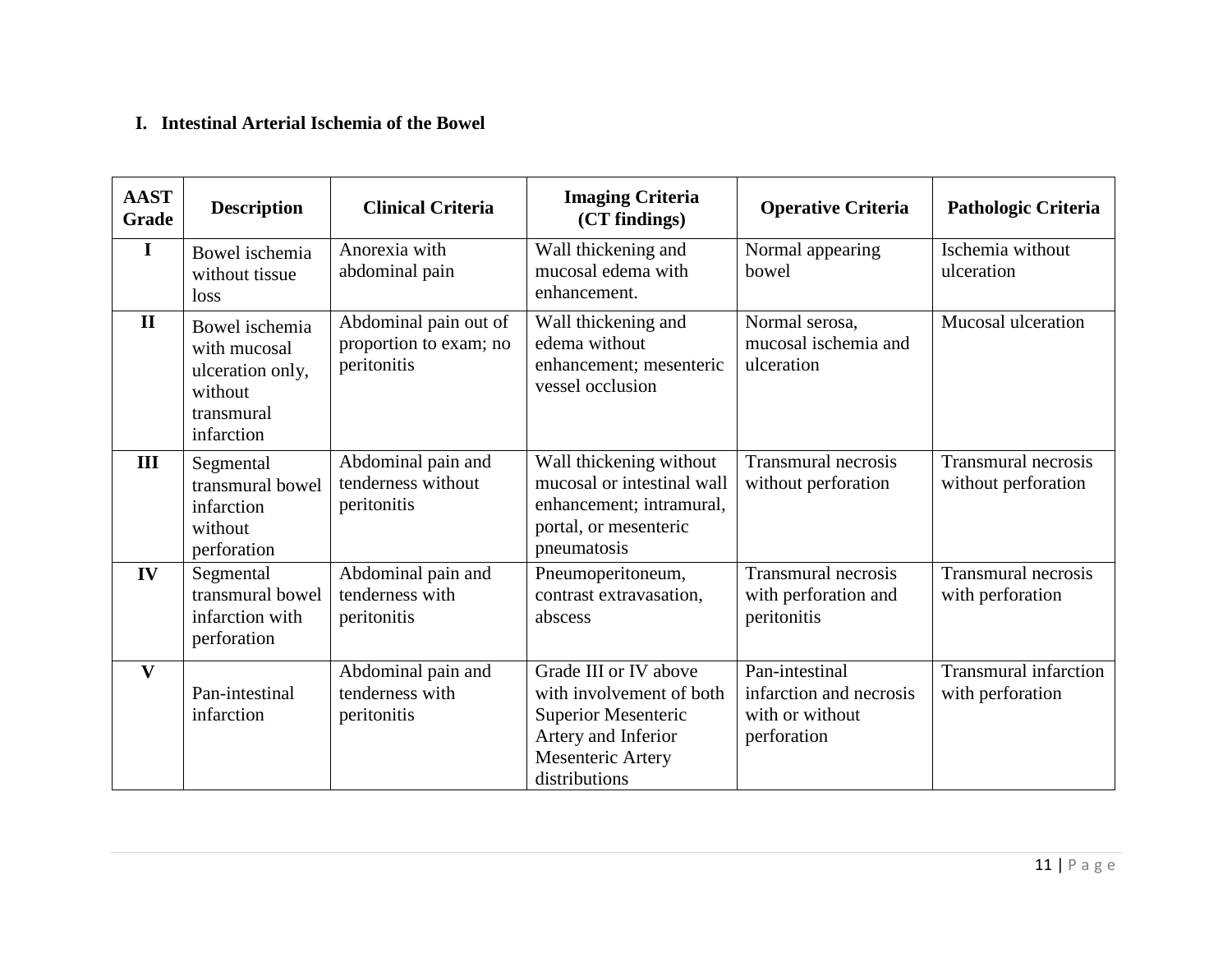### **I. Intestinal Arterial Ischemia of the Bowel**

| <b>AAST</b><br>Grade | <b>Description</b>                                                                        | <b>Clinical Criteria</b>                                       | <b>Imaging Criteria</b><br>(CT findings)                                                                                                     | <b>Operative Criteria</b>                                                   | <b>Pathologic Criteria</b>                        |
|----------------------|-------------------------------------------------------------------------------------------|----------------------------------------------------------------|----------------------------------------------------------------------------------------------------------------------------------------------|-----------------------------------------------------------------------------|---------------------------------------------------|
| I                    | Bowel ischemia<br>without tissue<br>loss                                                  | Anorexia with<br>abdominal pain                                | Wall thickening and<br>mucosal edema with<br>enhancement.                                                                                    | Normal appearing<br>bowel                                                   | Ischemia without<br>ulceration                    |
| $\mathbf{I}$         | Bowel ischemia<br>with mucosal<br>ulceration only,<br>without<br>transmural<br>infarction | Abdominal pain out of<br>proportion to exam; no<br>peritonitis | Wall thickening and<br>edema without<br>enhancement; mesenteric<br>vessel occlusion                                                          | Normal serosa,<br>mucosal ischemia and<br>ulceration                        | Mucosal ulceration                                |
| III                  | Segmental<br>transmural bowel<br>infarction<br>without<br>perforation                     | Abdominal pain and<br>tenderness without<br>peritonitis        | Wall thickening without<br>mucosal or intestinal wall<br>enhancement; intramural,<br>portal, or mesenteric<br>pneumatosis                    | <b>Transmural necrosis</b><br>without perforation                           | <b>Transmural necrosis</b><br>without perforation |
| IV                   | Segmental<br>transmural bowel<br>infarction with<br>perforation                           | Abdominal pain and<br>tenderness with<br>peritonitis           | Pneumoperitoneum,<br>contrast extravasation,<br>abscess                                                                                      | <b>Transmural necrosis</b><br>with perforation and<br>peritonitis           | <b>Transmural necrosis</b><br>with perforation    |
| V                    | Pan-intestinal<br>infarction                                                              | Abdominal pain and<br>tenderness with<br>peritonitis           | Grade III or IV above<br>with involvement of both<br><b>Superior Mesenteric</b><br>Artery and Inferior<br>Mesenteric Artery<br>distributions | Pan-intestinal<br>infarction and necrosis<br>with or without<br>perforation | <b>Transmural infarction</b><br>with perforation  |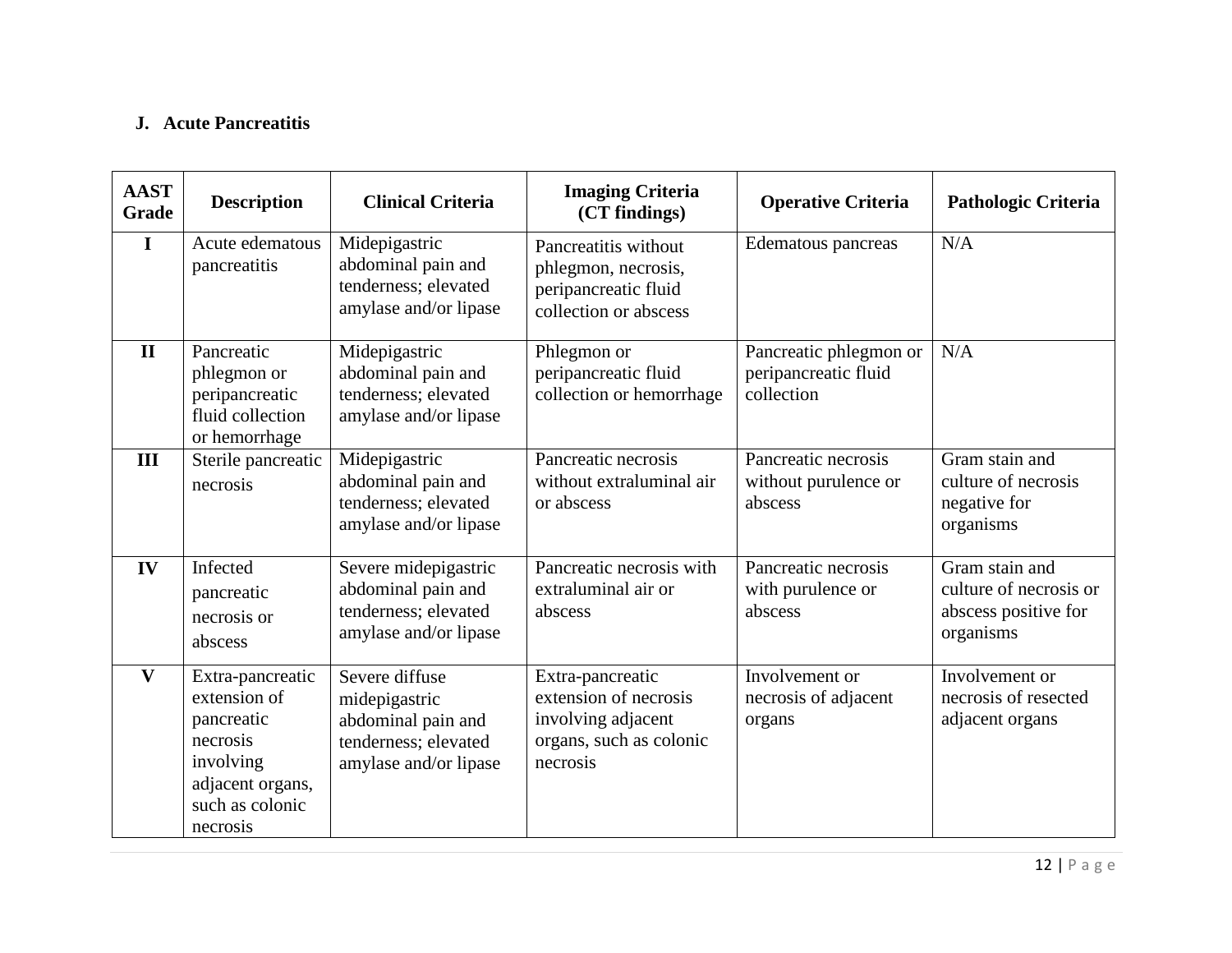### **J. Acute Pancreatitis**

| <b>AAST</b><br><b>Grade</b> | <b>Description</b>                                                                                                         | <b>Clinical Criteria</b>                                                                               | <b>Imaging Criteria</b><br>(CT findings)                                                               | <b>Operative Criteria</b>                                    | <b>Pathologic Criteria</b>                                                    |
|-----------------------------|----------------------------------------------------------------------------------------------------------------------------|--------------------------------------------------------------------------------------------------------|--------------------------------------------------------------------------------------------------------|--------------------------------------------------------------|-------------------------------------------------------------------------------|
| $\mathbf I$                 | Acute edematous<br>pancreatitis                                                                                            | Midepigastric<br>abdominal pain and<br>tenderness; elevated<br>amylase and/or lipase                   | Pancreatitis without<br>phlegmon, necrosis,<br>peripancreatic fluid<br>collection or abscess           | Edematous pancreas                                           | N/A                                                                           |
| $\mathbf{H}$                | Pancreatic<br>phlegmon or<br>peripancreatic<br>fluid collection<br>or hemorrhage                                           | Midepigastric<br>abdominal pain and<br>tenderness; elevated<br>amylase and/or lipase                   | Phlegmon or<br>peripancreatic fluid<br>collection or hemorrhage                                        | Pancreatic phlegmon or<br>peripancreatic fluid<br>collection | N/A                                                                           |
| III                         | Sterile pancreatic<br>necrosis                                                                                             | Midepigastric<br>abdominal pain and<br>tenderness; elevated<br>amylase and/or lipase                   | Pancreatic necrosis<br>without extraluminal air<br>or abscess                                          | Pancreatic necrosis<br>without purulence or<br>abscess       | Gram stain and<br>culture of necrosis<br>negative for<br>organisms            |
| IV                          | Infected<br>pancreatic<br>necrosis or<br>abscess                                                                           | Severe midepigastric<br>abdominal pain and<br>tenderness; elevated<br>amylase and/or lipase            | Pancreatic necrosis with<br>extraluminal air or<br>abscess                                             | Pancreatic necrosis<br>with purulence or<br>abscess          | Gram stain and<br>culture of necrosis or<br>abscess positive for<br>organisms |
| $\mathbf{V}$                | Extra-pancreatic<br>extension of<br>pancreatic<br>necrosis<br>involving<br>adjacent organs,<br>such as colonic<br>necrosis | Severe diffuse<br>midepigastric<br>abdominal pain and<br>tenderness; elevated<br>amylase and/or lipase | Extra-pancreatic<br>extension of necrosis<br>involving adjacent<br>organs, such as colonic<br>necrosis | Involvement or<br>necrosis of adjacent<br>organs             | Involvement or<br>necrosis of resected<br>adjacent organs                     |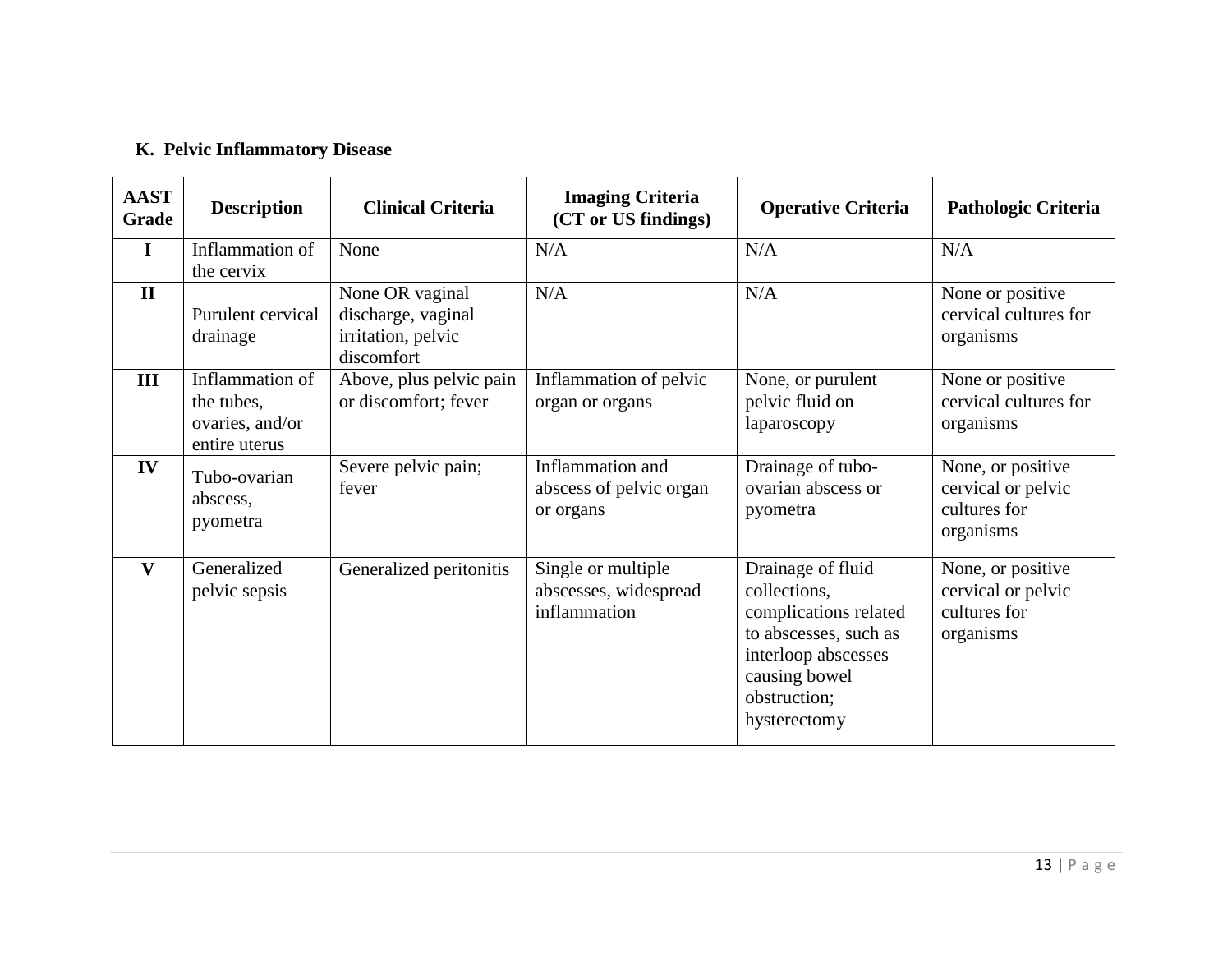# **K. Pelvic Inflammatory Disease**

| <b>AAST</b><br>Grade | <b>Description</b>                                                | <b>Clinical Criteria</b>                                                  | <b>Imaging Criteria</b><br>(CT or US findings)              | <b>Operative Criteria</b>                                                                                                                                   | <b>Pathologic Criteria</b>                                           |
|----------------------|-------------------------------------------------------------------|---------------------------------------------------------------------------|-------------------------------------------------------------|-------------------------------------------------------------------------------------------------------------------------------------------------------------|----------------------------------------------------------------------|
| $\mathbf I$          | Inflammation of<br>the cervix                                     | None                                                                      | N/A                                                         | N/A                                                                                                                                                         | N/A                                                                  |
| $\mathbf{I}$         | Purulent cervical<br>drainage                                     | None OR vaginal<br>discharge, vaginal<br>irritation, pelvic<br>discomfort | N/A                                                         | N/A                                                                                                                                                         | None or positive<br>cervical cultures for<br>organisms               |
| III                  | Inflammation of<br>the tubes,<br>ovaries, and/or<br>entire uterus | Above, plus pelvic pain<br>or discomfort; fever                           | Inflammation of pelvic<br>organ or organs                   | None, or purulent<br>pelvic fluid on<br>laparoscopy                                                                                                         | None or positive<br>cervical cultures for<br>organisms               |
| IV                   | Tubo-ovarian<br>abscess,<br>pyometra                              | Severe pelvic pain;<br>fever                                              | Inflammation and<br>abscess of pelvic organ<br>or organs    | Drainage of tubo-<br>ovarian abscess or<br>pyometra                                                                                                         | None, or positive<br>cervical or pelvic<br>cultures for<br>organisms |
| V                    | Generalized<br>pelvic sepsis                                      | Generalized peritonitis                                                   | Single or multiple<br>abscesses, widespread<br>inflammation | Drainage of fluid<br>collections,<br>complications related<br>to abscesses, such as<br>interloop abscesses<br>causing bowel<br>obstruction;<br>hysterectomy | None, or positive<br>cervical or pelvic<br>cultures for<br>organisms |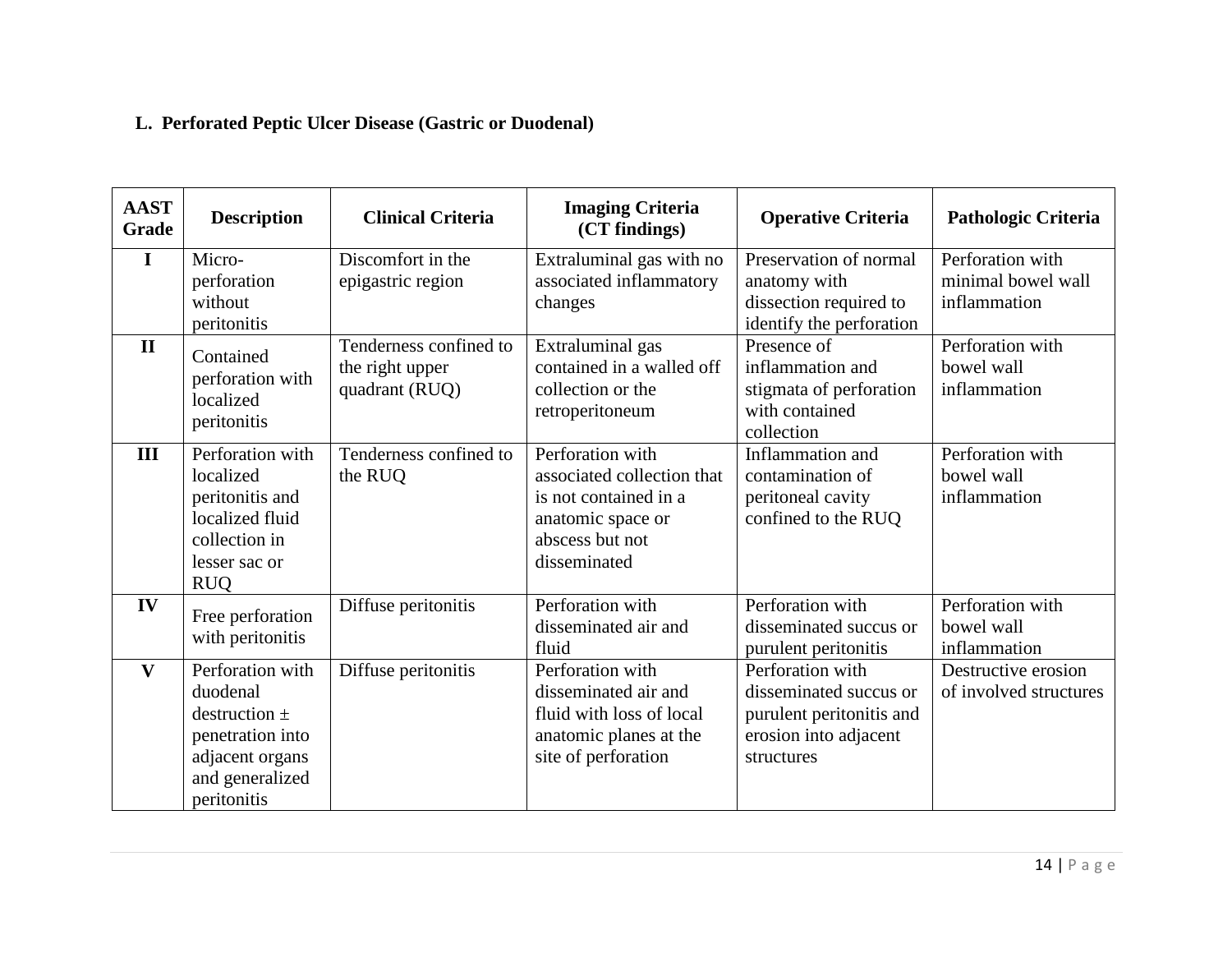# **L. Perforated Peptic Ulcer Disease (Gastric or Duodenal)**

| <b>AAST</b><br>Grade | <b>Description</b>                                                                                                         | <b>Clinical Criteria</b>                                    | <b>Imaging Criteria</b><br>(CT findings)                                                                                        | <b>Operative Criteria</b>                                                                                     | Pathologic Criteria                                    |
|----------------------|----------------------------------------------------------------------------------------------------------------------------|-------------------------------------------------------------|---------------------------------------------------------------------------------------------------------------------------------|---------------------------------------------------------------------------------------------------------------|--------------------------------------------------------|
| I                    | Micro-<br>perforation<br>without<br>peritonitis                                                                            | Discomfort in the<br>epigastric region                      | Extraluminal gas with no<br>associated inflammatory<br>changes                                                                  | Preservation of normal<br>anatomy with<br>dissection required to<br>identify the perforation                  | Perforation with<br>minimal bowel wall<br>inflammation |
| $\mathbf{I}$         | Contained<br>perforation with<br>localized<br>peritonitis                                                                  | Tenderness confined to<br>the right upper<br>quadrant (RUQ) | Extraluminal gas<br>contained in a walled off<br>collection or the<br>retroperitoneum                                           | Presence of<br>inflammation and<br>stigmata of perforation<br>with contained<br>collection                    | Perforation with<br>bowel wall<br>inflammation         |
| III                  | Perforation with<br>localized<br>peritonitis and<br>localized fluid<br>collection in<br>lesser sac or<br><b>RUQ</b>        | Tenderness confined to<br>the RUQ                           | Perforation with<br>associated collection that<br>is not contained in a<br>anatomic space or<br>abscess but not<br>disseminated | Inflammation and<br>contamination of<br>peritoneal cavity<br>confined to the RUQ                              | Perforation with<br>bowel wall<br>inflammation         |
| IV                   | Free perforation<br>with peritonitis                                                                                       | Diffuse peritonitis                                         | Perforation with<br>disseminated air and<br>fluid                                                                               | Perforation with<br>disseminated succus or<br>purulent peritonitis                                            | Perforation with<br>bowel wall<br>inflammation         |
| $\mathbf{V}$         | Perforation with<br>duodenal<br>destruction $\pm$<br>penetration into<br>adjacent organs<br>and generalized<br>peritonitis | Diffuse peritonitis                                         | Perforation with<br>disseminated air and<br>fluid with loss of local<br>anatomic planes at the<br>site of perforation           | Perforation with<br>disseminated succus or<br>purulent peritonitis and<br>erosion into adjacent<br>structures | Destructive erosion<br>of involved structures          |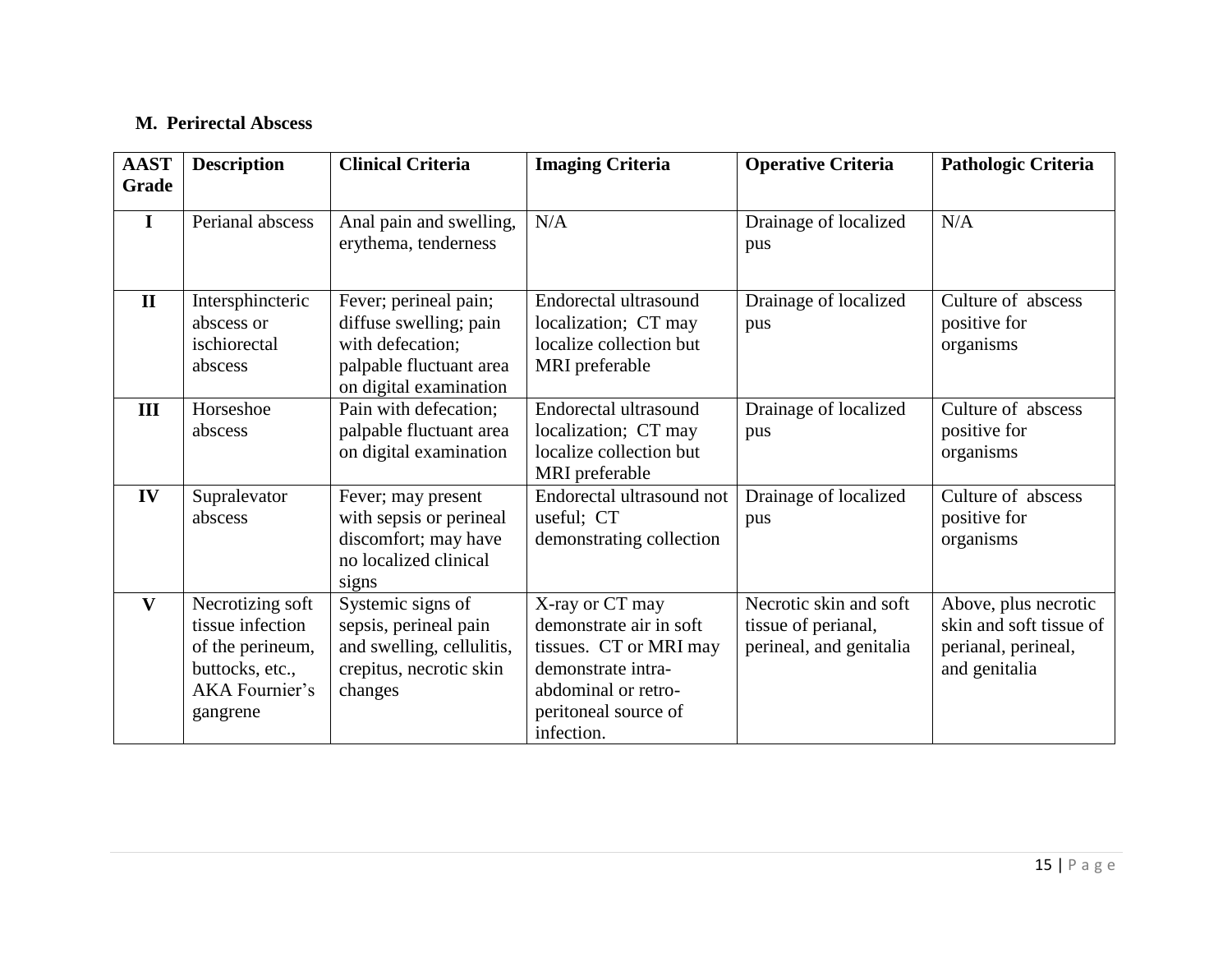### **M. Perirectal Abscess**

| <b>AAST</b><br><b>Grade</b> | <b>Description</b>                                                                                        | <b>Clinical Criteria</b>                                                                                                 | <b>Imaging Criteria</b>                                                                                                                                 | <b>Operative Criteria</b>                                                | <b>Pathologic Criteria</b>                                                              |
|-----------------------------|-----------------------------------------------------------------------------------------------------------|--------------------------------------------------------------------------------------------------------------------------|---------------------------------------------------------------------------------------------------------------------------------------------------------|--------------------------------------------------------------------------|-----------------------------------------------------------------------------------------|
| $\mathbf{I}$                | Perianal abscess                                                                                          | Anal pain and swelling,<br>erythema, tenderness                                                                          | N/A                                                                                                                                                     | Drainage of localized<br>pus                                             | N/A                                                                                     |
| $\mathbf{I}$                | Intersphincteric<br>abscess or<br>ischiorectal<br>abscess                                                 | Fever; perineal pain;<br>diffuse swelling; pain<br>with defecation;<br>palpable fluctuant area<br>on digital examination | Endorectal ultrasound<br>localization; CT may<br>localize collection but<br>MRI preferable                                                              | Drainage of localized<br>pus                                             | Culture of abscess<br>positive for<br>organisms                                         |
| III                         | Horseshoe<br>abscess                                                                                      | Pain with defecation;<br>palpable fluctuant area<br>on digital examination                                               | Endorectal ultrasound<br>localization; CT may<br>localize collection but<br>MRI preferable                                                              | Drainage of localized<br>pus                                             | Culture of abscess<br>positive for<br>organisms                                         |
| IV                          | Supralevator<br>abscess                                                                                   | Fever; may present<br>with sepsis or perineal<br>discomfort; may have<br>no localized clinical<br>signs                  | Endorectal ultrasound not<br>useful; CT<br>demonstrating collection                                                                                     | Drainage of localized<br>pus                                             | Culture of abscess<br>positive for<br>organisms                                         |
| V                           | Necrotizing soft<br>tissue infection<br>of the perineum,<br>buttocks, etc.,<br>AKA Fournier's<br>gangrene | Systemic signs of<br>sepsis, perineal pain<br>and swelling, cellulitis,<br>crepitus, necrotic skin<br>changes            | X-ray or CT may<br>demonstrate air in soft<br>tissues. CT or MRI may<br>demonstrate intra-<br>abdominal or retro-<br>peritoneal source of<br>infection. | Necrotic skin and soft<br>tissue of perianal,<br>perineal, and genitalia | Above, plus necrotic<br>skin and soft tissue of<br>perianal, perineal,<br>and genitalia |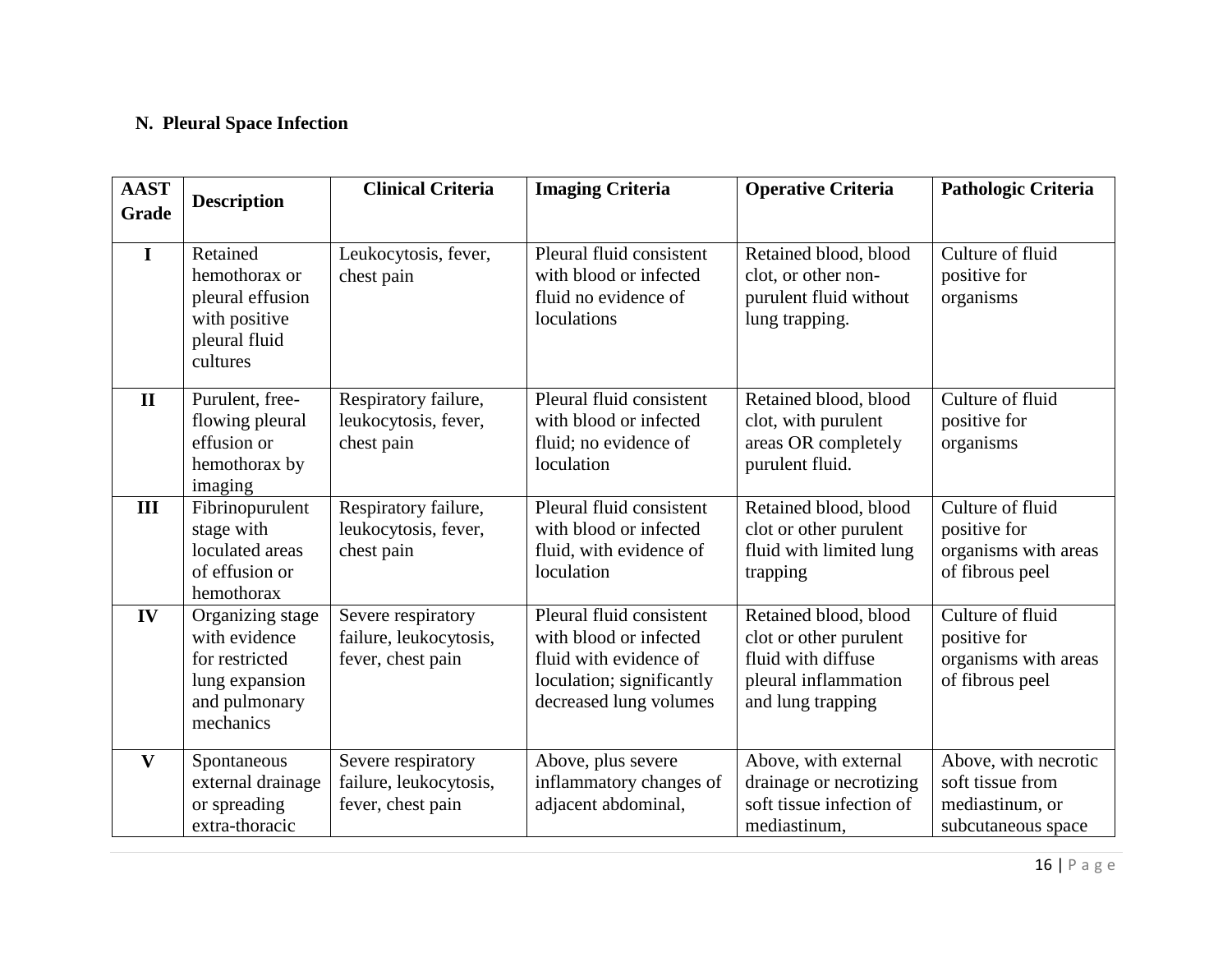# **N. Pleural Space Infection**

| <b>AAST</b><br>Grade | <b>Description</b>                                                                                  | <b>Clinical Criteria</b>                                          | <b>Imaging Criteria</b>                                                                                                             | <b>Operative Criteria</b>                                                                                          | <b>Pathologic Criteria</b>                                                        |
|----------------------|-----------------------------------------------------------------------------------------------------|-------------------------------------------------------------------|-------------------------------------------------------------------------------------------------------------------------------------|--------------------------------------------------------------------------------------------------------------------|-----------------------------------------------------------------------------------|
| $\mathbf I$          | Retained<br>hemothorax or<br>pleural effusion<br>with positive<br>pleural fluid<br>cultures         | Leukocytosis, fever,<br>chest pain                                | Pleural fluid consistent<br>with blood or infected<br>fluid no evidence of<br>loculations                                           | Retained blood, blood<br>clot, or other non-<br>purulent fluid without<br>lung trapping.                           | Culture of fluid<br>positive for<br>organisms                                     |
| $\mathbf{I}$         | Purulent, free-<br>flowing pleural<br>effusion or<br>hemothorax by<br>imaging                       | Respiratory failure,<br>leukocytosis, fever,<br>chest pain        | Pleural fluid consistent<br>with blood or infected<br>fluid; no evidence of<br>loculation                                           | Retained blood, blood<br>clot, with purulent<br>areas OR completely<br>purulent fluid.                             | Culture of fluid<br>positive for<br>organisms                                     |
| III                  | Fibrinopurulent<br>stage with<br>loculated areas<br>of effusion or<br>hemothorax                    | Respiratory failure,<br>leukocytosis, fever,<br>chest pain        | Pleural fluid consistent<br>with blood or infected<br>fluid, with evidence of<br>loculation                                         | Retained blood, blood<br>clot or other purulent<br>fluid with limited lung<br>trapping                             | Culture of fluid<br>positive for<br>organisms with areas<br>of fibrous peel       |
| IV                   | Organizing stage<br>with evidence<br>for restricted<br>lung expansion<br>and pulmonary<br>mechanics | Severe respiratory<br>failure, leukocytosis,<br>fever, chest pain | Pleural fluid consistent<br>with blood or infected<br>fluid with evidence of<br>loculation; significantly<br>decreased lung volumes | Retained blood, blood<br>clot or other purulent<br>fluid with diffuse<br>pleural inflammation<br>and lung trapping | Culture of fluid<br>positive for<br>organisms with areas<br>of fibrous peel       |
| $\mathbf{V}$         | Spontaneous<br>external drainage<br>or spreading<br>extra-thoracic                                  | Severe respiratory<br>failure, leukocytosis,<br>fever, chest pain | Above, plus severe<br>inflammatory changes of<br>adjacent abdominal,                                                                | Above, with external<br>drainage or necrotizing<br>soft tissue infection of<br>mediastinum,                        | Above, with necrotic<br>soft tissue from<br>mediastinum, or<br>subcutaneous space |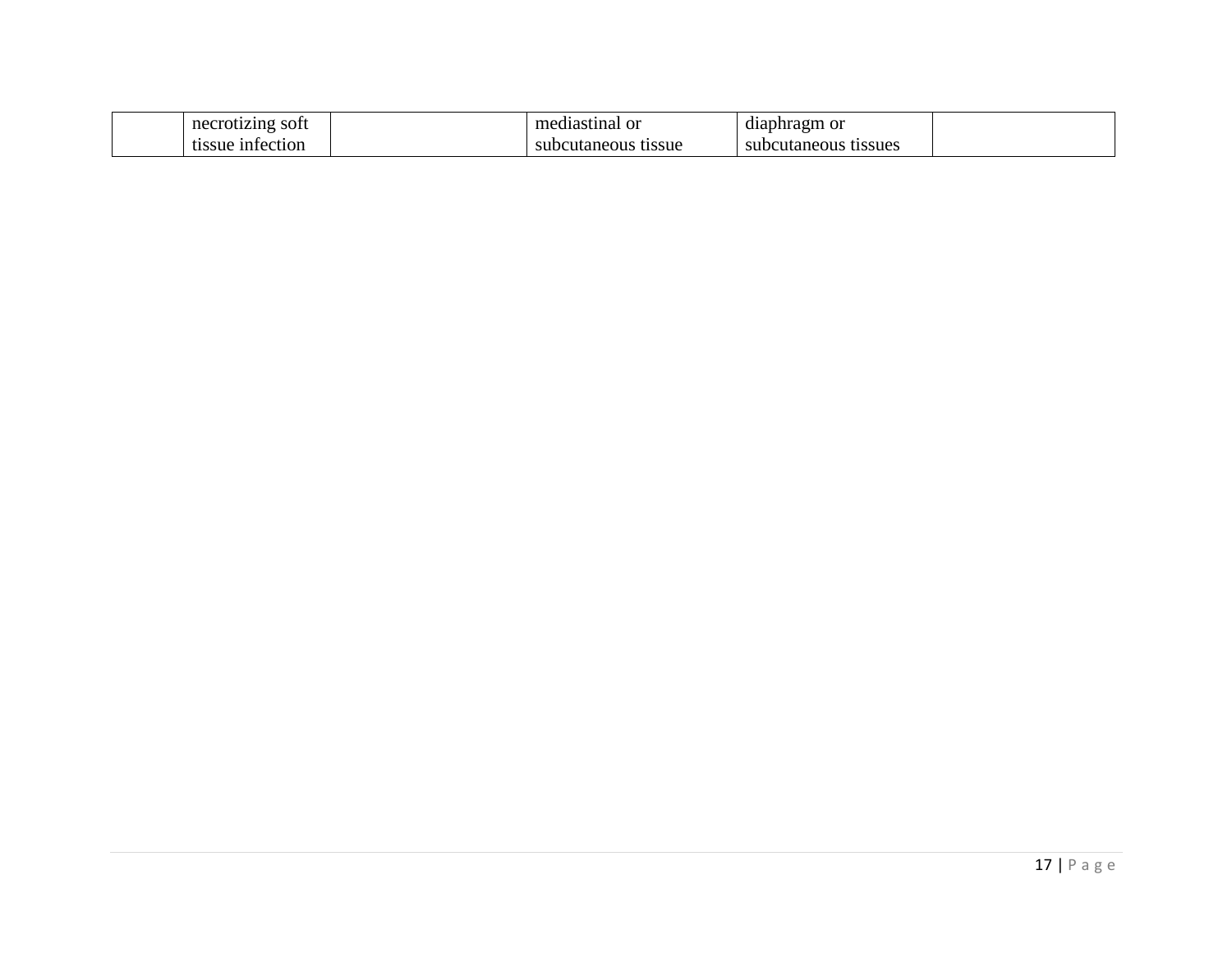| necrotizing soft | mediastinal or      | diaphragm or         |
|------------------|---------------------|----------------------|
| tissue infection | subcutaneous tissue | subcutaneous tissues |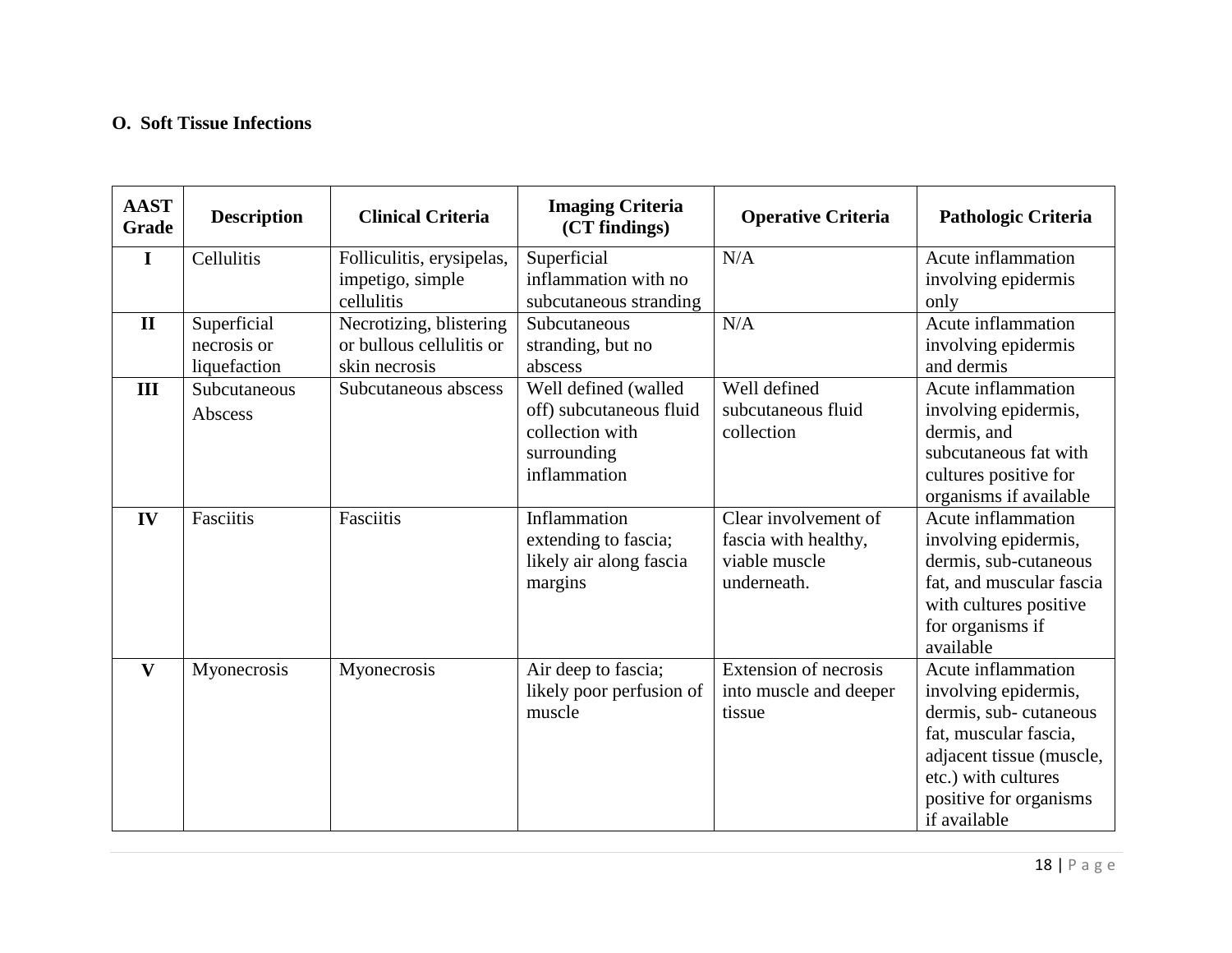### **O. Soft Tissue Infections**

| <b>AAST</b><br>Grade | <b>Description</b>                         | <b>Clinical Criteria</b>                                             | <b>Imaging Criteria</b><br>(CT findings)                                                          | <b>Operative Criteria</b>                                                    | <b>Pathologic Criteria</b>                                                                                                                                                                |
|----------------------|--------------------------------------------|----------------------------------------------------------------------|---------------------------------------------------------------------------------------------------|------------------------------------------------------------------------------|-------------------------------------------------------------------------------------------------------------------------------------------------------------------------------------------|
| $\bf{I}$             | Cellulitis                                 | Folliculitis, erysipelas,<br>impetigo, simple<br>cellulitis          | Superficial<br>inflammation with no<br>subcutaneous stranding                                     | N/A                                                                          | Acute inflammation<br>involving epidermis<br>only                                                                                                                                         |
| $\mathbf{I}$         | Superficial<br>necrosis or<br>liquefaction | Necrotizing, blistering<br>or bullous cellulitis or<br>skin necrosis | Subcutaneous<br>stranding, but no<br>abscess                                                      | N/A                                                                          | Acute inflammation<br>involving epidermis<br>and dermis                                                                                                                                   |
| III                  | Subcutaneous<br>Abscess                    | Subcutaneous abscess                                                 | Well defined (walled<br>off) subcutaneous fluid<br>collection with<br>surrounding<br>inflammation | Well defined<br>subcutaneous fluid<br>collection                             | Acute inflammation<br>involving epidermis,<br>dermis, and<br>subcutaneous fat with<br>cultures positive for<br>organisms if available                                                     |
| IV                   | Fasciitis                                  | Fasciitis                                                            | Inflammation<br>extending to fascia;<br>likely air along fascia<br>margins                        | Clear involvement of<br>fascia with healthy,<br>viable muscle<br>underneath. | Acute inflammation<br>involving epidermis,<br>dermis, sub-cutaneous<br>fat, and muscular fascia<br>with cultures positive<br>for organisms if<br>available                                |
| $\mathbf{V}$         | Myonecrosis                                | Myonecrosis                                                          | Air deep to fascia;<br>likely poor perfusion of<br>muscle                                         | Extension of necrosis<br>into muscle and deeper<br>tissue                    | Acute inflammation<br>involving epidermis,<br>dermis, sub-cutaneous<br>fat, muscular fascia,<br>adjacent tissue (muscle,<br>etc.) with cultures<br>positive for organisms<br>if available |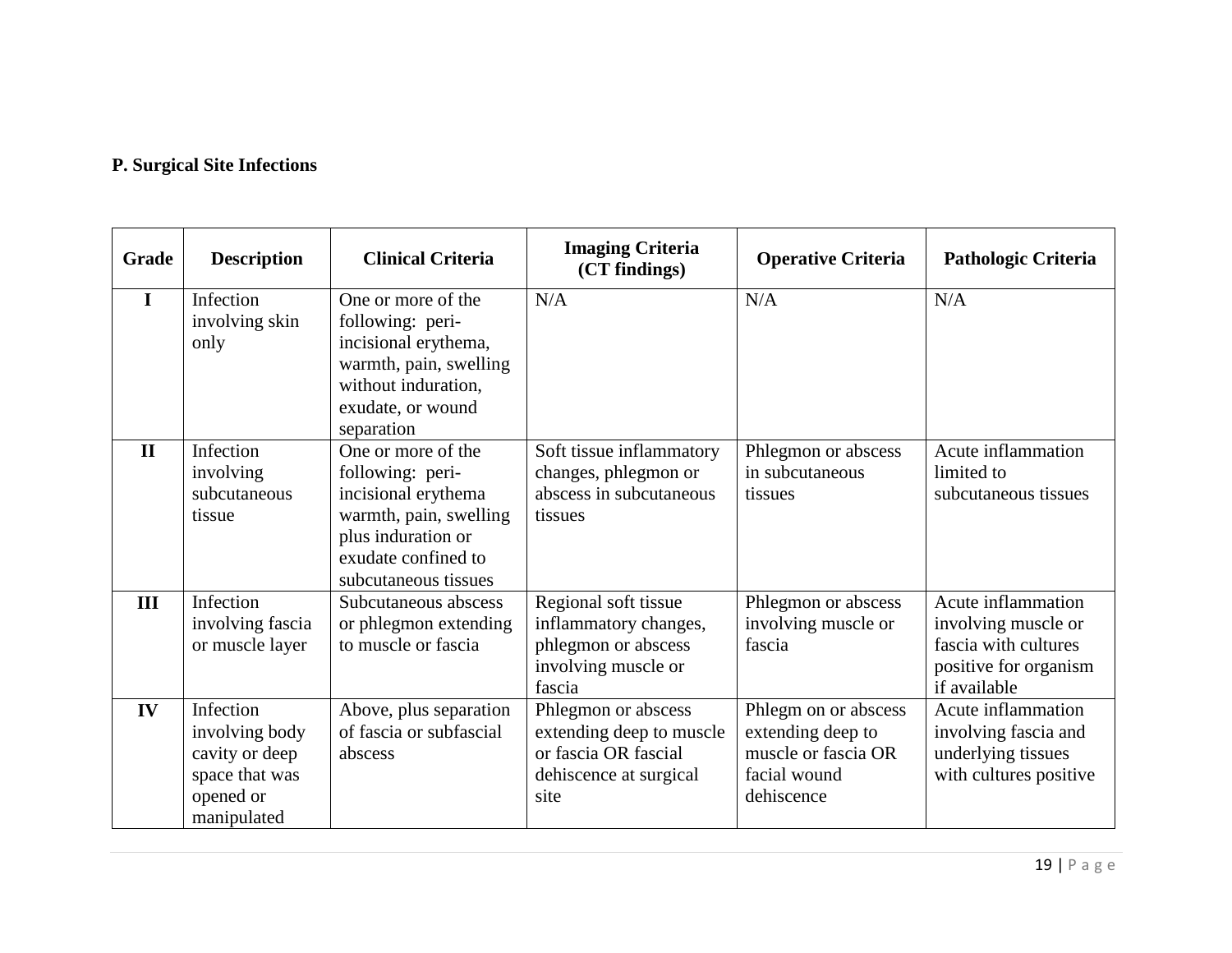### **P. Surgical Site Infections**

| Grade        | <b>Description</b>                                                                          | <b>Clinical Criteria</b>                                                                                                                                     | <b>Imaging Criteria</b><br>(CT findings)                                                                  | <b>Operative Criteria</b>                                                                      | Pathologic Criteria                                                                                        |
|--------------|---------------------------------------------------------------------------------------------|--------------------------------------------------------------------------------------------------------------------------------------------------------------|-----------------------------------------------------------------------------------------------------------|------------------------------------------------------------------------------------------------|------------------------------------------------------------------------------------------------------------|
| I            | Infection<br>involving skin<br>only                                                         | One or more of the<br>following: peri-<br>incisional erythema,<br>warmth, pain, swelling<br>without induration,<br>exudate, or wound<br>separation           | N/A                                                                                                       | N/A                                                                                            | N/A                                                                                                        |
| $\mathbf{H}$ | Infection<br>involving<br>subcutaneous<br>tissue                                            | One or more of the<br>following: peri-<br>incisional erythema<br>warmth, pain, swelling<br>plus induration or<br>exudate confined to<br>subcutaneous tissues | Soft tissue inflammatory<br>changes, phlegmon or<br>abscess in subcutaneous<br>tissues                    | Phlegmon or abscess<br>in subcutaneous<br>tissues                                              | Acute inflammation<br>limited to<br>subcutaneous tissues                                                   |
| III          | Infection<br>involving fascia<br>or muscle layer                                            | Subcutaneous abscess<br>or phlegmon extending<br>to muscle or fascia                                                                                         | Regional soft tissue<br>inflammatory changes,<br>phlegmon or abscess<br>involving muscle or<br>fascia     | Phlegmon or abscess<br>involving muscle or<br>fascia                                           | Acute inflammation<br>involving muscle or<br>fascia with cultures<br>positive for organism<br>if available |
| IV           | Infection<br>involving body<br>cavity or deep<br>space that was<br>opened or<br>manipulated | Above, plus separation<br>of fascia or subfascial<br>abscess                                                                                                 | Phlegmon or abscess<br>extending deep to muscle<br>or fascia OR fascial<br>dehiscence at surgical<br>site | Phlegm on or abscess<br>extending deep to<br>muscle or fascia OR<br>facial wound<br>dehiscence | Acute inflammation<br>involving fascia and<br>underlying tissues<br>with cultures positive                 |